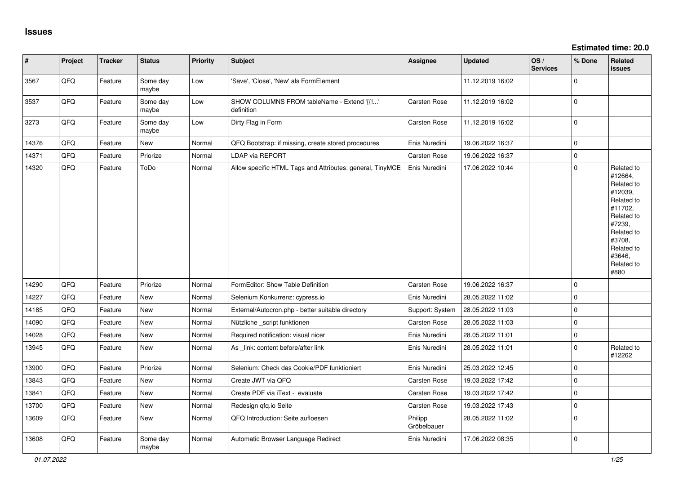| $\vert$ # | Project | <b>Tracker</b> | <b>Status</b>     | <b>Priority</b> | <b>Subject</b>                                            | Assignee               | <b>Updated</b>   | OS/<br><b>Services</b> | % Done      | <b>Related</b><br><b>issues</b>                                                                                                                                       |
|-----------|---------|----------------|-------------------|-----------------|-----------------------------------------------------------|------------------------|------------------|------------------------|-------------|-----------------------------------------------------------------------------------------------------------------------------------------------------------------------|
| 3567      | QFQ     | Feature        | Some day<br>maybe | Low             | 'Save', 'Close', 'New' als FormElement                    |                        | 11.12.2019 16:02 |                        | $\mathbf 0$ |                                                                                                                                                                       |
| 3537      | QFQ     | Feature        | Some day<br>maybe | Low             | SHOW COLUMNS FROM tableName - Extend '{{!'<br>definition  | Carsten Rose           | 11.12.2019 16:02 |                        | $\mathbf 0$ |                                                                                                                                                                       |
| 3273      | QFQ     | Feature        | Some day<br>maybe | Low             | Dirty Flag in Form                                        | Carsten Rose           | 11.12.2019 16:02 |                        | $\mathbf 0$ |                                                                                                                                                                       |
| 14376     | QFQ     | Feature        | New               | Normal          | QFQ Bootstrap: if missing, create stored procedures       | Enis Nuredini          | 19.06.2022 16:37 |                        | $\pmb{0}$   |                                                                                                                                                                       |
| 14371     | QFQ     | Feature        | Priorize          | Normal          | LDAP via REPORT                                           | Carsten Rose           | 19.06.2022 16:37 |                        | $\mathsf 0$ |                                                                                                                                                                       |
| 14320     | QFQ     | Feature        | ToDo              | Normal          | Allow specific HTML Tags and Attributes: general, TinyMCE | Enis Nuredini          | 17.06.2022 10:44 |                        | $\mathbf 0$ | Related to<br>#12664,<br>Related to<br>#12039,<br>Related to<br>#11702,<br>Related to<br>#7239,<br>Related to<br>#3708,<br>Related to<br>#3646,<br>Related to<br>#880 |
| 14290     | QFQ     | Feature        | Priorize          | Normal          | FormEditor: Show Table Definition                         | Carsten Rose           | 19.06.2022 16:37 |                        | $\mathbf 0$ |                                                                                                                                                                       |
| 14227     | QFQ     | Feature        | New               | Normal          | Selenium Konkurrenz: cypress.io                           | Enis Nuredini          | 28.05.2022 11:02 |                        | $\mathbf 0$ |                                                                                                                                                                       |
| 14185     | QFQ     | Feature        | New               | Normal          | External/Autocron.php - better suitable directory         | Support: System        | 28.05.2022 11:03 |                        | $\mathbf 0$ |                                                                                                                                                                       |
| 14090     | QFQ     | Feature        | New               | Normal          | Nützliche _script funktionen                              | Carsten Rose           | 28.05.2022 11:03 |                        | $\mathsf 0$ |                                                                                                                                                                       |
| 14028     | QFQ     | Feature        | New               | Normal          | Required notification: visual nicer                       | Enis Nuredini          | 28.05.2022 11:01 |                        | $\mathbf 0$ |                                                                                                                                                                       |
| 13945     | QFQ     | Feature        | New               | Normal          | As _link: content before/after link                       | Enis Nuredini          | 28.05.2022 11:01 |                        | $\mathbf 0$ | Related to<br>#12262                                                                                                                                                  |
| 13900     | QFQ     | Feature        | Priorize          | Normal          | Selenium: Check das Cookie/PDF funktioniert               | Enis Nuredini          | 25.03.2022 12:45 |                        | $\mathbf 0$ |                                                                                                                                                                       |
| 13843     | QFQ     | Feature        | New               | Normal          | Create JWT via QFQ                                        | <b>Carsten Rose</b>    | 19.03.2022 17:42 |                        | $\mathbf 0$ |                                                                                                                                                                       |
| 13841     | QFQ     | Feature        | New               | Normal          | Create PDF via iText - evaluate                           | <b>Carsten Rose</b>    | 19.03.2022 17:42 |                        | $\mathbf 0$ |                                                                                                                                                                       |
| 13700     | QFQ     | Feature        | New               | Normal          | Redesign qfq.io Seite                                     | Carsten Rose           | 19.03.2022 17:43 |                        | $\pmb{0}$   |                                                                                                                                                                       |
| 13609     | QFQ     | Feature        | <b>New</b>        | Normal          | QFQ Introduction: Seite aufloesen                         | Philipp<br>Gröbelbauer | 28.05.2022 11:02 |                        | $\mathbf 0$ |                                                                                                                                                                       |
| 13608     | QFQ     | Feature        | Some day<br>maybe | Normal          | Automatic Browser Language Redirect                       | Enis Nuredini          | 17.06.2022 08:35 |                        | $\mathbf 0$ |                                                                                                                                                                       |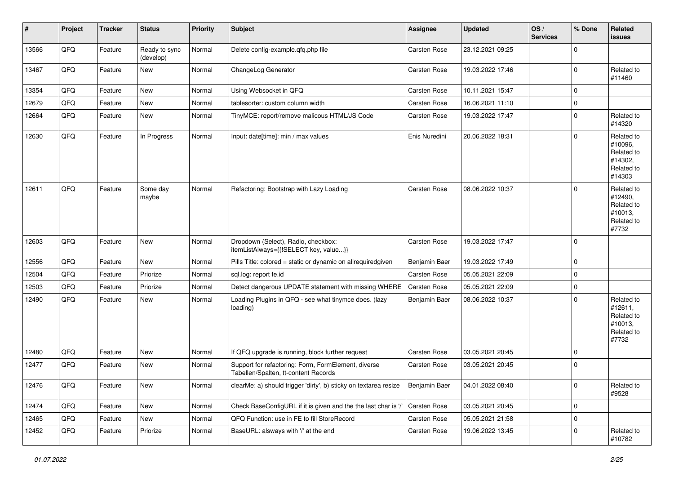| #     | Project | <b>Tracker</b> | <b>Status</b>              | <b>Priority</b> | <b>Subject</b>                                                                              | <b>Assignee</b>     | <b>Updated</b>   | OS/<br><b>Services</b> | % Done      | <b>Related</b><br>issues                                               |
|-------|---------|----------------|----------------------------|-----------------|---------------------------------------------------------------------------------------------|---------------------|------------------|------------------------|-------------|------------------------------------------------------------------------|
| 13566 | QFQ     | Feature        | Ready to sync<br>(develop) | Normal          | Delete config-example.qfq.php file                                                          | Carsten Rose        | 23.12.2021 09:25 |                        | $\mathbf 0$ |                                                                        |
| 13467 | QFQ     | Feature        | New                        | Normal          | ChangeLog Generator                                                                         | Carsten Rose        | 19.03.2022 17:46 |                        | $\mathbf 0$ | Related to<br>#11460                                                   |
| 13354 | QFQ     | Feature        | New                        | Normal          | Using Websocket in QFQ                                                                      | <b>Carsten Rose</b> | 10.11.2021 15:47 |                        | $\mathbf 0$ |                                                                        |
| 12679 | QFQ     | Feature        | New                        | Normal          | tablesorter: custom column width                                                            | Carsten Rose        | 16.06.2021 11:10 |                        | $\mathbf 0$ |                                                                        |
| 12664 | QFQ     | Feature        | New                        | Normal          | TinyMCE: report/remove malicous HTML/JS Code                                                | Carsten Rose        | 19.03.2022 17:47 |                        | $\mathbf 0$ | Related to<br>#14320                                                   |
| 12630 | QFQ     | Feature        | In Progress                | Normal          | Input: date[time]: min / max values                                                         | Enis Nuredini       | 20.06.2022 18:31 |                        | $\mathbf 0$ | Related to<br>#10096,<br>Related to<br>#14302.<br>Related to<br>#14303 |
| 12611 | QFQ     | Feature        | Some day<br>maybe          | Normal          | Refactoring: Bootstrap with Lazy Loading                                                    | <b>Carsten Rose</b> | 08.06.2022 10:37 |                        | $\mathbf 0$ | Related to<br>#12490,<br>Related to<br>#10013,<br>Related to<br>#7732  |
| 12603 | QFQ     | Feature        | New                        | Normal          | Dropdown (Select), Radio, checkbox:<br>itemListAlways={{!SELECT key, value}}                | <b>Carsten Rose</b> | 19.03.2022 17:47 |                        | $\mathbf 0$ |                                                                        |
| 12556 | QFQ     | Feature        | New                        | Normal          | Pills Title: colored = static or dynamic on allrequiredgiven                                | Benjamin Baer       | 19.03.2022 17:49 |                        | $\mathbf 0$ |                                                                        |
| 12504 | QFQ     | Feature        | Priorize                   | Normal          | sql.log: report fe.id                                                                       | Carsten Rose        | 05.05.2021 22:09 |                        | $\mathbf 0$ |                                                                        |
| 12503 | QFQ     | Feature        | Priorize                   | Normal          | Detect dangerous UPDATE statement with missing WHERE                                        | Carsten Rose        | 05.05.2021 22:09 |                        | $\mathbf 0$ |                                                                        |
| 12490 | QFQ     | Feature        | New                        | Normal          | Loading Plugins in QFQ - see what tinymce does. (lazy<br>loading)                           | Benjamin Baer       | 08.06.2022 10:37 |                        | $\mathbf 0$ | Related to<br>#12611,<br>Related to<br>#10013,<br>Related to<br>#7732  |
| 12480 | QFQ     | Feature        | New                        | Normal          | If QFQ upgrade is running, block further request                                            | <b>Carsten Rose</b> | 03.05.2021 20:45 |                        | $\mathbf 0$ |                                                                        |
| 12477 | QFQ     | Feature        | New                        | Normal          | Support for refactoring: Form, FormElement, diverse<br>Tabellen/Spalten, tt-content Records | <b>Carsten Rose</b> | 03.05.2021 20:45 |                        | $\mathbf 0$ |                                                                        |
| 12476 | QFQ     | Feature        | New                        | Normal          | clearMe: a) should trigger 'dirty', b) sticky on textarea resize                            | Benjamin Baer       | 04.01.2022 08:40 |                        | 0           | Related to<br>#9528                                                    |
| 12474 | QFQ     | Feature        | New                        | Normal          | Check BaseConfigURL if it is given and the the last char is '/'                             | Carsten Rose        | 03.05.2021 20:45 |                        | $\mathbf 0$ |                                                                        |
| 12465 | QFQ     | Feature        | New                        | Normal          | QFQ Function: use in FE to fill StoreRecord                                                 | Carsten Rose        | 05.05.2021 21:58 |                        | $\mathbf 0$ |                                                                        |
| 12452 | QFQ     | Feature        | Priorize                   | Normal          | BaseURL: alsways with '/' at the end                                                        | Carsten Rose        | 19.06.2022 13:45 |                        | 0           | Related to<br>#10782                                                   |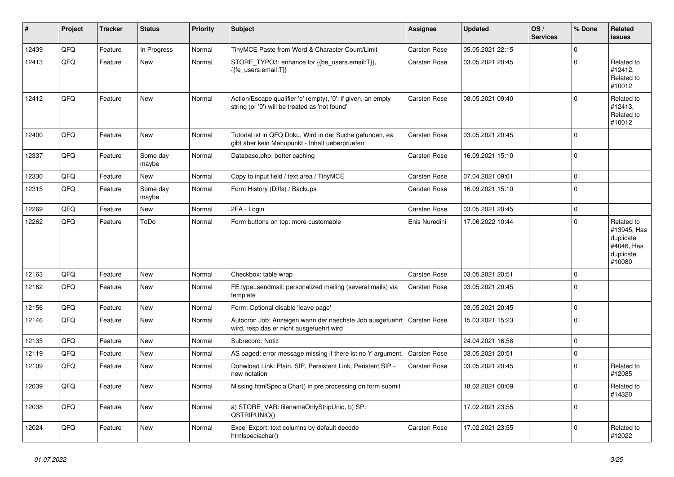| ∦     | Project | <b>Tracker</b> | <b>Status</b>     | <b>Priority</b> | <b>Subject</b>                                                                                                 | Assignee            | <b>Updated</b>   | OS/<br><b>Services</b> | % Done      | Related<br><b>issues</b>                                                    |
|-------|---------|----------------|-------------------|-----------------|----------------------------------------------------------------------------------------------------------------|---------------------|------------------|------------------------|-------------|-----------------------------------------------------------------------------|
| 12439 | QFQ     | Feature        | In Progress       | Normal          | TinyMCE Paste from Word & Character Count/Limit                                                                | Carsten Rose        | 05.05.2021 22:15 |                        | $\Omega$    |                                                                             |
| 12413 | QFQ     | Feature        | New               | Normal          | STORE_TYPO3: enhance for {{be_users.email:T}},<br>{{fe users.email:T}}                                         | Carsten Rose        | 03.05.2021 20:45 |                        | $\Omega$    | Related to<br>#12412,<br>Related to<br>#10012                               |
| 12412 | QFQ     | Feature        | New               | Normal          | Action/Escape qualifier 'e' (empty), '0': if given, an empty<br>string (or '0') will be treated as 'not found' | <b>Carsten Rose</b> | 08.05.2021 09:40 |                        | $\mathbf 0$ | Related to<br>#12413,<br>Related to<br>#10012                               |
| 12400 | QFQ     | Feature        | <b>New</b>        | Normal          | Tutorial ist in QFQ Doku, Wird in der Suche gefunden, es<br>gibt aber kein Menupunkt - Inhalt ueberpruefen     | Carsten Rose        | 03.05.2021 20:45 |                        | $\Omega$    |                                                                             |
| 12337 | QFQ     | Feature        | Some day<br>maybe | Normal          | Database.php: better caching                                                                                   | Carsten Rose        | 16.09.2021 15:10 |                        | $\mathbf 0$ |                                                                             |
| 12330 | QFQ     | Feature        | <b>New</b>        | Normal          | Copy to input field / text area / TinyMCE                                                                      | Carsten Rose        | 07.04.2021 09:01 |                        | $\mathbf 0$ |                                                                             |
| 12315 | QFQ     | Feature        | Some day<br>maybe | Normal          | Form History (Diffs) / Backups                                                                                 | Carsten Rose        | 16.09.2021 15:10 |                        | $\Omega$    |                                                                             |
| 12269 | QFQ     | Feature        | <b>New</b>        | Normal          | 2FA - Login                                                                                                    | <b>Carsten Rose</b> | 03.05.2021 20:45 |                        | $\mathbf 0$ |                                                                             |
| 12262 | QFQ     | Feature        | ToDo              | Normal          | Form buttons on top: more customable                                                                           | Enis Nuredini       | 17.06.2022 10:44 |                        | $\Omega$    | Related to<br>#13945, Has<br>duplicate<br>#4046, Has<br>duplicate<br>#10080 |
| 12163 | QFQ     | Feature        | New               | Normal          | Checkbox: table wrap                                                                                           | Carsten Rose        | 03.05.2021 20:51 |                        | $\mathbf 0$ |                                                                             |
| 12162 | QFQ     | Feature        | New               | Normal          | FE.type=sendmail: personalized mailing (several mails) via<br>template                                         | Carsten Rose        | 03.05.2021 20:45 |                        | $\Omega$    |                                                                             |
| 12156 | QFQ     | Feature        | <b>New</b>        | Normal          | Form: Optional disable 'leave page'                                                                            |                     | 03.05.2021 20:45 |                        | $\mathbf 0$ |                                                                             |
| 12146 | QFQ     | Feature        | <b>New</b>        | Normal          | Autocron Job: Anzeigen wann der naechste Job ausgefuehrt<br>wird, resp das er nicht ausgefuehrt wird           | <b>Carsten Rose</b> | 15.03.2021 15:23 |                        | $\Omega$    |                                                                             |
| 12135 | QFQ     | Feature        | <b>New</b>        | Normal          | Subrecord: Notiz                                                                                               |                     | 24.04.2021 16:58 |                        | $\mathbf 0$ |                                                                             |
| 12119 | QFQ     | Feature        | New               | Normal          | AS paged: error message missing if there ist no 'r' argument.                                                  | Carsten Rose        | 03.05.2021 20:51 |                        | $\mathbf 0$ |                                                                             |
| 12109 | QFQ     | Feature        | New               | Normal          | Donwload Link: Plain, SIP, Persistent Link, Peristent SIP -<br>new notation                                    | Carsten Rose        | 03.05.2021 20:45 |                        | $\mathbf 0$ | Related to<br>#12085                                                        |
| 12039 | QFQ     | Feature        | New               | Normal          | Missing htmlSpecialChar() in pre processing on form submit                                                     |                     | 18.02.2021 00:09 |                        | $\Omega$    | Related to<br>#14320                                                        |
| 12038 | QFQ     | Feature        | <b>New</b>        | Normal          | a) STORE_VAR: filenameOnlyStripUniq, b) SP:<br>QSTRIPUNIQ()                                                    |                     | 17.02.2021 23:55 |                        | $\Omega$    |                                                                             |
| 12024 | QFQ     | Feature        | <b>New</b>        | Normal          | Excel Export: text columns by default decode<br>htmlspeciachar()                                               | <b>Carsten Rose</b> | 17.02.2021 23:55 |                        | $\mathbf 0$ | Related to<br>#12022                                                        |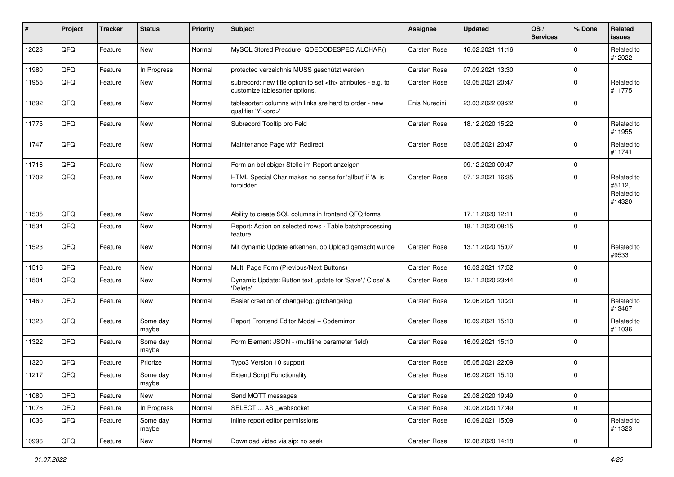| #     | Project | <b>Tracker</b> | <b>Status</b>     | <b>Priority</b> | <b>Subject</b>                                                                                       | <b>Assignee</b>                                        | <b>Updated</b>   | OS/<br><b>Services</b> | % Done      | Related<br><b>issues</b>                     |                      |
|-------|---------|----------------|-------------------|-----------------|------------------------------------------------------------------------------------------------------|--------------------------------------------------------|------------------|------------------------|-------------|----------------------------------------------|----------------------|
| 12023 | QFQ     | Feature        | <b>New</b>        | Normal          | MySQL Stored Precdure: QDECODESPECIALCHAR()                                                          | Carsten Rose                                           | 16.02.2021 11:16 |                        | $\mathbf 0$ | Related to<br>#12022                         |                      |
| 11980 | QFQ     | Feature        | In Progress       | Normal          | protected verzeichnis MUSS geschützt werden                                                          | Carsten Rose                                           | 07.09.2021 13:30 |                        | $\pmb{0}$   |                                              |                      |
| 11955 | QFQ     | Feature        | <b>New</b>        | Normal          | subrecord: new title option to set <th> attributes - e.g. to<br/>customize tablesorter options.</th> | attributes - e.g. to<br>customize tablesorter options. | Carsten Rose     | 03.05.2021 20:47       |             | $\mathbf 0$                                  | Related to<br>#11775 |
| 11892 | QFQ     | Feature        | <b>New</b>        | Normal          | tablesorter: columns with links are hard to order - new<br>qualifier 'Y: <ord>'</ord>                | Enis Nuredini                                          | 23.03.2022 09:22 |                        | $\mathbf 0$ |                                              |                      |
| 11775 | QFQ     | Feature        | <b>New</b>        | Normal          | Subrecord Tooltip pro Feld                                                                           | Carsten Rose                                           | 18.12.2020 15:22 |                        | $\mathbf 0$ | Related to<br>#11955                         |                      |
| 11747 | QFQ     | Feature        | <b>New</b>        | Normal          | Maintenance Page with Redirect                                                                       | Carsten Rose                                           | 03.05.2021 20:47 |                        | $\pmb{0}$   | Related to<br>#11741                         |                      |
| 11716 | QFQ     | Feature        | <b>New</b>        | Normal          | Form an beliebiger Stelle im Report anzeigen                                                         |                                                        | 09.12.2020 09:47 |                        | $\pmb{0}$   |                                              |                      |
| 11702 | QFQ     | Feature        | <b>New</b>        | Normal          | HTML Special Char makes no sense for 'allbut' if '&' is<br>forbidden                                 | Carsten Rose                                           | 07.12.2021 16:35 |                        | $\mathbf 0$ | Related to<br>#5112,<br>Related to<br>#14320 |                      |
| 11535 | QFQ     | Feature        | <b>New</b>        | Normal          | Ability to create SQL columns in frontend QFQ forms                                                  |                                                        | 17.11.2020 12:11 |                        | $\pmb{0}$   |                                              |                      |
| 11534 | QFQ     | Feature        | <b>New</b>        | Normal          | Report: Action on selected rows - Table batchprocessing<br>feature                                   |                                                        | 18.11.2020 08:15 |                        | $\mathbf 0$ |                                              |                      |
| 11523 | QFQ     | Feature        | <b>New</b>        | Normal          | Mit dynamic Update erkennen, ob Upload gemacht wurde                                                 | Carsten Rose                                           | 13.11.2020 15:07 |                        | $\mathbf 0$ | Related to<br>#9533                          |                      |
| 11516 | QFQ     | Feature        | <b>New</b>        | Normal          | Multi Page Form (Previous/Next Buttons)                                                              | Carsten Rose                                           | 16.03.2021 17:52 |                        | $\mathbf 0$ |                                              |                      |
| 11504 | QFQ     | Feature        | New               | Normal          | Dynamic Update: Button text update for 'Save',' Close' &<br>'Delete'                                 | Carsten Rose                                           | 12.11.2020 23:44 |                        | $\mathbf 0$ |                                              |                      |
| 11460 | QFQ     | Feature        | <b>New</b>        | Normal          | Easier creation of changelog: gitchangelog                                                           | Carsten Rose                                           | 12.06.2021 10:20 |                        | $\mathbf 0$ | Related to<br>#13467                         |                      |
| 11323 | QFQ     | Feature        | Some day<br>maybe | Normal          | Report Frontend Editor Modal + Codemirror                                                            | Carsten Rose                                           | 16.09.2021 15:10 |                        | $\mathbf 0$ | Related to<br>#11036                         |                      |
| 11322 | QFQ     | Feature        | Some day<br>maybe | Normal          | Form Element JSON - (multiline parameter field)                                                      | Carsten Rose                                           | 16.09.2021 15:10 |                        | $\mathbf 0$ |                                              |                      |
| 11320 | QFQ     | Feature        | Priorize          | Normal          | Typo3 Version 10 support                                                                             | Carsten Rose                                           | 05.05.2021 22:09 |                        | $\pmb{0}$   |                                              |                      |
| 11217 | QFQ     | Feature        | Some day<br>maybe | Normal          | <b>Extend Script Functionality</b>                                                                   | Carsten Rose                                           | 16.09.2021 15:10 |                        | 0           |                                              |                      |
| 11080 | QFQ     | Feature        | <b>New</b>        | Normal          | Send MQTT messages                                                                                   | Carsten Rose                                           | 29.08.2020 19:49 |                        | $\pmb{0}$   |                                              |                      |
| 11076 | QFQ     | Feature        | In Progress       | Normal          | SELECT  AS _websocket                                                                                | Carsten Rose                                           | 30.08.2020 17:49 |                        | $\pmb{0}$   |                                              |                      |
| 11036 | QFQ     | Feature        | Some day<br>maybe | Normal          | inline report editor permissions                                                                     | Carsten Rose                                           | 16.09.2021 15:09 |                        | $\pmb{0}$   | Related to<br>#11323                         |                      |
| 10996 | QFQ     | Feature        | New               | Normal          | Download video via sip: no seek                                                                      | Carsten Rose                                           | 12.08.2020 14:18 |                        | $\pmb{0}$   |                                              |                      |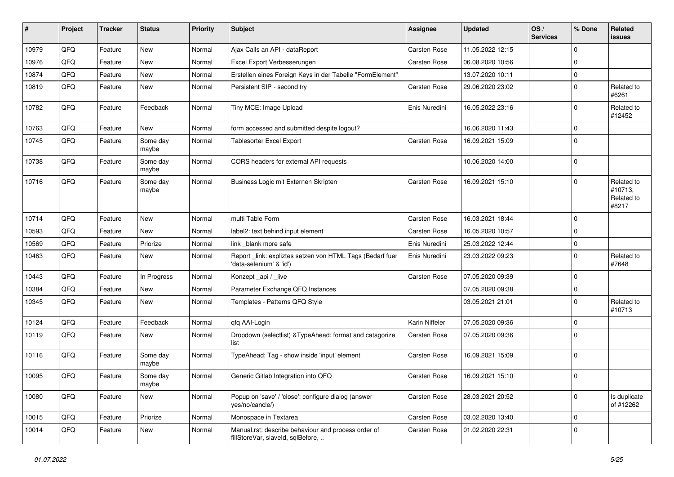| #     | Project | <b>Tracker</b> | <b>Status</b>     | <b>Priority</b> | <b>Subject</b>                                                                           | <b>Assignee</b> | <b>Updated</b>   | OS/<br><b>Services</b> | % Done      | Related<br>issues                            |
|-------|---------|----------------|-------------------|-----------------|------------------------------------------------------------------------------------------|-----------------|------------------|------------------------|-------------|----------------------------------------------|
| 10979 | QFQ     | Feature        | New               | Normal          | Ajax Calls an API - dataReport                                                           | Carsten Rose    | 11.05.2022 12:15 |                        | $\mathbf 0$ |                                              |
| 10976 | QFQ     | Feature        | New               | Normal          | Excel Export Verbesserungen                                                              | Carsten Rose    | 06.08.2020 10:56 |                        | $\Omega$    |                                              |
| 10874 | QFQ     | Feature        | New               | Normal          | Erstellen eines Foreign Keys in der Tabelle "FormElement"                                |                 | 13.07.2020 10:11 |                        | $\mathbf 0$ |                                              |
| 10819 | QFQ     | Feature        | New               | Normal          | Persistent SIP - second try                                                              | Carsten Rose    | 29.06.2020 23:02 |                        | $\mathbf 0$ | Related to<br>#6261                          |
| 10782 | QFQ     | Feature        | Feedback          | Normal          | Tiny MCE: Image Upload                                                                   | Enis Nuredini   | 16.05.2022 23:16 |                        | $\mathbf 0$ | Related to<br>#12452                         |
| 10763 | QFQ     | Feature        | New               | Normal          | form accessed and submitted despite logout?                                              |                 | 16.06.2020 11:43 |                        | $\mathbf 0$ |                                              |
| 10745 | QFQ     | Feature        | Some day<br>maybe | Normal          | <b>Tablesorter Excel Export</b>                                                          | Carsten Rose    | 16.09.2021 15:09 |                        | $\mathbf 0$ |                                              |
| 10738 | QFQ     | Feature        | Some day<br>maybe | Normal          | CORS headers for external API requests                                                   |                 | 10.06.2020 14:00 |                        | $\mathbf 0$ |                                              |
| 10716 | QFQ     | Feature        | Some day<br>maybe | Normal          | Business Logic mit Externen Skripten                                                     | Carsten Rose    | 16.09.2021 15:10 |                        | $\Omega$    | Related to<br>#10713,<br>Related to<br>#8217 |
| 10714 | QFQ     | Feature        | <b>New</b>        | Normal          | multi Table Form                                                                         | Carsten Rose    | 16.03.2021 18:44 |                        | $\mathbf 0$ |                                              |
| 10593 | QFQ     | Feature        | New               | Normal          | label2: text behind input element                                                        | Carsten Rose    | 16.05.2020 10:57 |                        | $\mathbf 0$ |                                              |
| 10569 | QFQ     | Feature        | Priorize          | Normal          | link _blank more safe                                                                    | Enis Nuredini   | 25.03.2022 12:44 |                        | $\mathbf 0$ |                                              |
| 10463 | QFQ     | Feature        | New               | Normal          | Report_link: expliztes setzen von HTML Tags (Bedarf fuer<br>'data-selenium' & 'id')      | Enis Nuredini   | 23.03.2022 09:23 |                        | $\mathbf 0$ | Related to<br>#7648                          |
| 10443 | QFQ     | Feature        | In Progress       | Normal          | Konzept _api / _live                                                                     | Carsten Rose    | 07.05.2020 09:39 |                        | $\mathbf 0$ |                                              |
| 10384 | QFQ     | Feature        | <b>New</b>        | Normal          | Parameter Exchange QFQ Instances                                                         |                 | 07.05.2020 09:38 |                        | $\mathbf 0$ |                                              |
| 10345 | QFQ     | Feature        | New               | Normal          | Templates - Patterns QFQ Style                                                           |                 | 03.05.2021 21:01 |                        | 0           | Related to<br>#10713                         |
| 10124 | QFQ     | Feature        | Feedback          | Normal          | qfq AAI-Login                                                                            | Karin Niffeler  | 07.05.2020 09:36 |                        | $\mathbf 0$ |                                              |
| 10119 | QFQ     | Feature        | New               | Normal          | Dropdown (selectlist) & TypeAhead: format and catagorize<br>list                         | Carsten Rose    | 07.05.2020 09:36 |                        | $\Omega$    |                                              |
| 10116 | QFQ     | Feature        | Some day<br>maybe | Normal          | TypeAhead: Tag - show inside 'input' element                                             | Carsten Rose    | 16.09.2021 15:09 |                        | $\mathbf 0$ |                                              |
| 10095 | QFQ     | Feature        | Some day<br>maybe | Normal          | Generic Gitlab Integration into QFQ                                                      | Carsten Rose    | 16.09.2021 15:10 |                        | $\mathbf 0$ |                                              |
| 10080 | QFQ     | Feature        | New               | Normal          | Popup on 'save' / 'close': configure dialog (answer<br>yes/no/cancle/)                   | Carsten Rose    | 28.03.2021 20:52 |                        | $\mathbf 0$ | Is duplicate<br>of #12262                    |
| 10015 | QFQ     | Feature        | Priorize          | Normal          | Monospace in Textarea                                                                    | Carsten Rose    | 03.02.2020 13:40 |                        | $\mathbf 0$ |                                              |
| 10014 | QFQ     | Feature        | New               | Normal          | Manual.rst: describe behaviour and process order of<br>fillStoreVar, slaveId, sqlBefore, | Carsten Rose    | 01.02.2020 22:31 |                        | $\mathbf 0$ |                                              |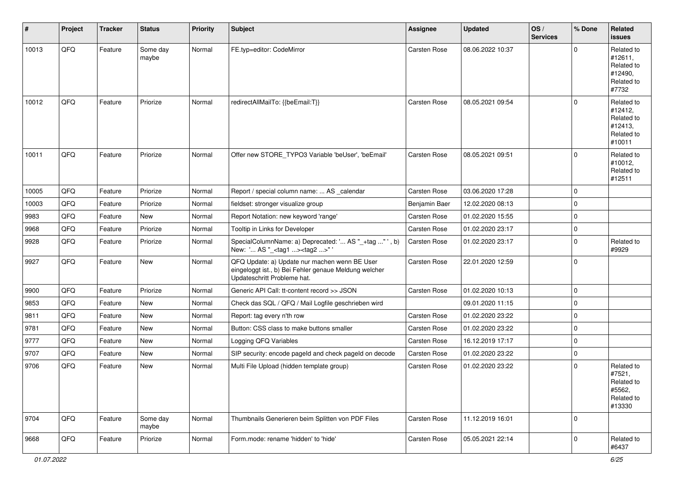| #     | Project | <b>Tracker</b> | <b>Status</b>     | <b>Priority</b> | <b>Subject</b>                                                                                                                        | <b>Assignee</b>     | <b>Updated</b>   | OS/<br><b>Services</b> | % Done      | Related<br>issues                                                      |
|-------|---------|----------------|-------------------|-----------------|---------------------------------------------------------------------------------------------------------------------------------------|---------------------|------------------|------------------------|-------------|------------------------------------------------------------------------|
| 10013 | QFQ     | Feature        | Some day<br>maybe | Normal          | FE.typ=editor: CodeMirror                                                                                                             | <b>Carsten Rose</b> | 08.06.2022 10:37 |                        | $\Omega$    | Related to<br>#12611,<br>Related to<br>#12490,<br>Related to<br>#7732  |
| 10012 | QFQ     | Feature        | Priorize          | Normal          | redirectAllMailTo: {{beEmail:T}}                                                                                                      | Carsten Rose        | 08.05.2021 09:54 |                        | $\Omega$    | Related to<br>#12412,<br>Related to<br>#12413,<br>Related to<br>#10011 |
| 10011 | QFQ     | Feature        | Priorize          | Normal          | Offer new STORE_TYPO3 Variable 'beUser', 'beEmail'                                                                                    | <b>Carsten Rose</b> | 08.05.2021 09:51 |                        | $\Omega$    | Related to<br>#10012,<br>Related to<br>#12511                          |
| 10005 | QFQ     | Feature        | Priorize          | Normal          | Report / special column name:  AS _calendar                                                                                           | Carsten Rose        | 03.06.2020 17:28 |                        | $\Omega$    |                                                                        |
| 10003 | QFQ     | Feature        | Priorize          | Normal          | fieldset: stronger visualize group                                                                                                    | Benjamin Baer       | 12.02.2020 08:13 |                        | $\Omega$    |                                                                        |
| 9983  | QFQ     | Feature        | New               | Normal          | Report Notation: new keyword 'range'                                                                                                  | Carsten Rose        | 01.02.2020 15:55 |                        | $\Omega$    |                                                                        |
| 9968  | QFQ     | Feature        | Priorize          | Normal          | Tooltip in Links for Developer                                                                                                        | Carsten Rose        | 01.02.2020 23:17 |                        | $\Omega$    |                                                                        |
| 9928  | QFQ     | Feature        | Priorize          | Normal          | SpecialColumnName: a) Deprecated: ' AS "_+tag " ', b)<br>New: ' AS "_ <tag1><tag2>"</tag2></tag1>                                     | Carsten Rose        | 01.02.2020 23:17 |                        | $\Omega$    | Related to<br>#9929                                                    |
| 9927  | QFQ     | Feature        | New               | Normal          | QFQ Update: a) Update nur machen wenn BE User<br>eingeloggt ist., b) Bei Fehler genaue Meldung welcher<br>Updateschritt Probleme hat. | Carsten Rose        | 22.01.2020 12:59 |                        | $\Omega$    |                                                                        |
| 9900  | QFQ     | Feature        | Priorize          | Normal          | Generic API Call: tt-content record >> JSON                                                                                           | Carsten Rose        | 01.02.2020 10:13 |                        | $\mathbf 0$ |                                                                        |
| 9853  | QFQ     | Feature        | <b>New</b>        | Normal          | Check das SQL / QFQ / Mail Logfile geschrieben wird                                                                                   |                     | 09.01.2020 11:15 |                        | $\Omega$    |                                                                        |
| 9811  | QFQ     | Feature        | New               | Normal          | Report: tag every n'th row                                                                                                            | Carsten Rose        | 01.02.2020 23:22 |                        | $\Omega$    |                                                                        |
| 9781  | QFQ     | Feature        | New               | Normal          | Button: CSS class to make buttons smaller                                                                                             | Carsten Rose        | 01.02.2020 23:22 |                        | $\Omega$    |                                                                        |
| 9777  | QFQ     | Feature        | New               | Normal          | Logging QFQ Variables                                                                                                                 | Carsten Rose        | 16.12.2019 17:17 |                        | $\mathbf 0$ |                                                                        |
| 9707  | QFQ     | Feature        | New               | Normal          | SIP security: encode pageld and check pageld on decode                                                                                | Carsten Rose        | 01.02.2020 23:22 |                        | $\Omega$    |                                                                        |
| 9706  | QFQ     | Feature        | New               | Normal          | Multi File Upload (hidden template group)                                                                                             | Carsten Rose        | 01.02.2020 23:22 |                        | $\Omega$    | Related to<br>#7521,<br>Related to<br>#5562,<br>Related to<br>#13330   |
| 9704  | QFQ     | Feature        | Some day<br>maybe | Normal          | Thumbnails Generieren beim Splitten von PDF Files                                                                                     | Carsten Rose        | 11.12.2019 16:01 |                        | $\Omega$    |                                                                        |
| 9668  | QFQ     | Feature        | Priorize          | Normal          | Form.mode: rename 'hidden' to 'hide'                                                                                                  | Carsten Rose        | 05.05.2021 22:14 |                        | $\mathbf 0$ | Related to<br>#6437                                                    |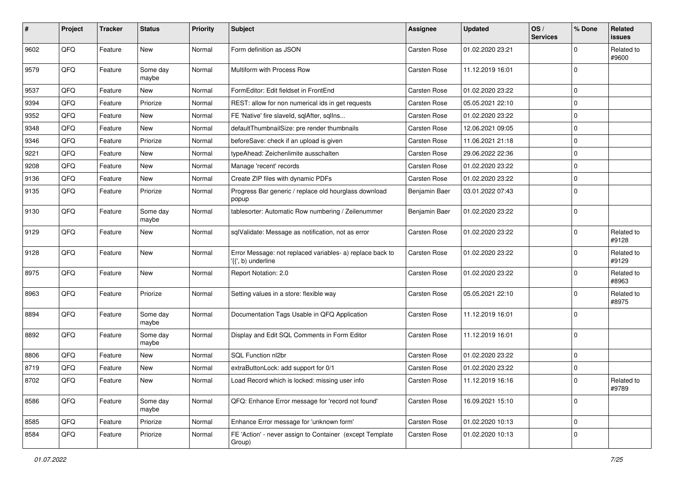| #    | Project | <b>Tracker</b> | <b>Status</b>     | <b>Priority</b> | Subject                                                                         | <b>Assignee</b> | <b>Updated</b>   | OS/<br><b>Services</b> | % Done         | Related<br>issues   |
|------|---------|----------------|-------------------|-----------------|---------------------------------------------------------------------------------|-----------------|------------------|------------------------|----------------|---------------------|
| 9602 | QFQ     | Feature        | New               | Normal          | Form definition as JSON                                                         | Carsten Rose    | 01.02.2020 23:21 |                        | $\Omega$       | Related to<br>#9600 |
| 9579 | QFQ     | Feature        | Some day<br>maybe | Normal          | Multiform with Process Row                                                      | Carsten Rose    | 11.12.2019 16:01 |                        | $\Omega$       |                     |
| 9537 | QFQ     | Feature        | New               | Normal          | FormEditor: Edit fieldset in FrontEnd                                           | Carsten Rose    | 01.02.2020 23:22 |                        | $\Omega$       |                     |
| 9394 | QFQ     | Feature        | Priorize          | Normal          | REST: allow for non numerical ids in get requests                               | Carsten Rose    | 05.05.2021 22:10 |                        | $\Omega$       |                     |
| 9352 | QFQ     | Feature        | New               | Normal          | FE 'Native' fire slaveld, sqlAfter, sqlIns                                      | Carsten Rose    | 01.02.2020 23:22 |                        | $\mathbf 0$    |                     |
| 9348 | QFQ     | Feature        | New               | Normal          | defaultThumbnailSize: pre render thumbnails                                     | Carsten Rose    | 12.06.2021 09:05 |                        | $\mathbf 0$    |                     |
| 9346 | QFQ     | Feature        | Priorize          | Normal          | beforeSave: check if an upload is given                                         | Carsten Rose    | 11.06.2021 21:18 |                        | $\mathbf 0$    |                     |
| 9221 | QFQ     | Feature        | New               | Normal          | typeAhead: Zeichenlimite ausschalten                                            | Carsten Rose    | 29.06.2022 22:36 |                        | $\Omega$       |                     |
| 9208 | QFQ     | Feature        | New               | Normal          | Manage 'recent' records                                                         | Carsten Rose    | 01.02.2020 23:22 |                        | $\Omega$       |                     |
| 9136 | QFQ     | Feature        | New               | Normal          | Create ZIP files with dynamic PDFs                                              | Carsten Rose    | 01.02.2020 23:22 |                        | $\Omega$       |                     |
| 9135 | QFQ     | Feature        | Priorize          | Normal          | Progress Bar generic / replace old hourglass download<br>popup                  | Benjamin Baer   | 03.01.2022 07:43 |                        | $\Omega$       |                     |
| 9130 | QFQ     | Feature        | Some day<br>maybe | Normal          | tablesorter: Automatic Row numbering / Zeilenummer                              | Benjamin Baer   | 01.02.2020 23:22 |                        | $\mathbf 0$    |                     |
| 9129 | QFQ     | Feature        | New               | Normal          | sqlValidate: Message as notification, not as error                              | Carsten Rose    | 01.02.2020 23:22 |                        | $\mathbf 0$    | Related to<br>#9128 |
| 9128 | QFQ     | Feature        | New               | Normal          | Error Message: not replaced variables- a) replace back to<br>'{{', b) underline | Carsten Rose    | 01.02.2020 23:22 |                        | $\Omega$       | Related to<br>#9129 |
| 8975 | QFQ     | Feature        | New               | Normal          | Report Notation: 2.0                                                            | Carsten Rose    | 01.02.2020 23:22 |                        | $\Omega$       | Related to<br>#8963 |
| 8963 | QFQ     | Feature        | Priorize          | Normal          | Setting values in a store: flexible way                                         | Carsten Rose    | 05.05.2021 22:10 |                        | $\Omega$       | Related to<br>#8975 |
| 8894 | QFQ     | Feature        | Some day<br>maybe | Normal          | Documentation Tags Usable in QFQ Application                                    | Carsten Rose    | 11.12.2019 16:01 |                        | $\Omega$       |                     |
| 8892 | QFQ     | Feature        | Some day<br>maybe | Normal          | Display and Edit SQL Comments in Form Editor                                    | Carsten Rose    | 11.12.2019 16:01 |                        | $\Omega$       |                     |
| 8806 | QFQ     | Feature        | New               | Normal          | <b>SQL Function nl2br</b>                                                       | Carsten Rose    | 01.02.2020 23:22 |                        | 0              |                     |
| 8719 | QFQ     | Feature        | New               | Normal          | extraButtonLock: add support for 0/1                                            | Carsten Rose    | 01.02.2020 23:22 |                        | $\overline{0}$ |                     |
| 8702 | QFQ     | Feature        | New               | Normal          | Load Record which is locked: missing user info                                  | Carsten Rose    | 11.12.2019 16:16 |                        | $\Omega$       | Related to<br>#9789 |
| 8586 | QFQ     | Feature        | Some day<br>maybe | Normal          | QFQ: Enhance Error message for 'record not found'                               | Carsten Rose    | 16.09.2021 15:10 |                        | 0              |                     |
| 8585 | QFQ     | Feature        | Priorize          | Normal          | Enhance Error message for 'unknown form'                                        | Carsten Rose    | 01.02.2020 10:13 |                        | $\mathbf 0$    |                     |
| 8584 | QFQ     | Feature        | Priorize          | Normal          | FE 'Action' - never assign to Container (except Template<br>Group)              | Carsten Rose    | 01.02.2020 10:13 |                        | 0              |                     |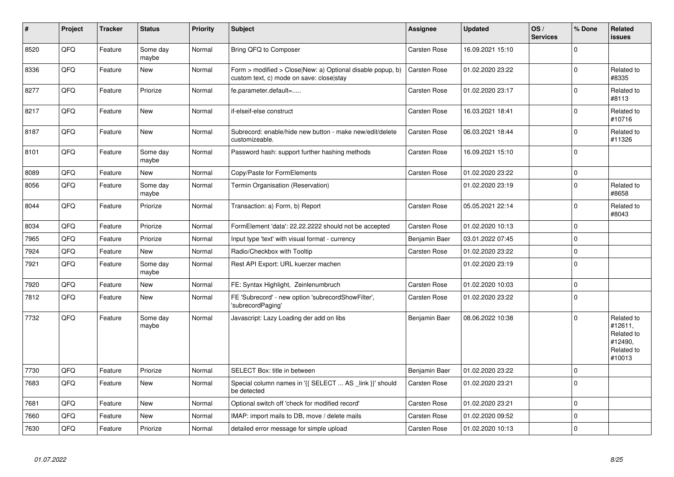| $\vert$ # | Project | <b>Tracker</b> | <b>Status</b>     | <b>Priority</b> | <b>Subject</b>                                                                                         | Assignee            | <b>Updated</b>   | OS/<br><b>Services</b> | % Done      | Related<br><b>issues</b>                                               |
|-----------|---------|----------------|-------------------|-----------------|--------------------------------------------------------------------------------------------------------|---------------------|------------------|------------------------|-------------|------------------------------------------------------------------------|
| 8520      | QFQ     | Feature        | Some day<br>maybe | Normal          | Bring QFQ to Composer                                                                                  | Carsten Rose        | 16.09.2021 15:10 |                        | $\Omega$    |                                                                        |
| 8336      | QFQ     | Feature        | <b>New</b>        | Normal          | Form > modified > Close New: a) Optional disable popup, b)<br>custom text, c) mode on save: close stay | Carsten Rose        | 01.02.2020 23:22 |                        | $\Omega$    | Related to<br>#8335                                                    |
| 8277      | QFQ     | Feature        | Priorize          | Normal          | fe.parameter.default=                                                                                  | Carsten Rose        | 01.02.2020 23:17 |                        | $\mathbf 0$ | Related to<br>#8113                                                    |
| 8217      | QFQ     | Feature        | <b>New</b>        | Normal          | if-elseif-else construct                                                                               | Carsten Rose        | 16.03.2021 18:41 |                        | $\Omega$    | Related to<br>#10716                                                   |
| 8187      | QFQ     | Feature        | <b>New</b>        | Normal          | Subrecord: enable/hide new button - make new/edit/delete<br>customizeable.                             | Carsten Rose        | 06.03.2021 18:44 |                        | $\mathbf 0$ | Related to<br>#11326                                                   |
| 8101      | QFQ     | Feature        | Some day<br>maybe | Normal          | Password hash: support further hashing methods                                                         | Carsten Rose        | 16.09.2021 15:10 |                        | $\mathbf 0$ |                                                                        |
| 8089      | QFQ     | Feature        | New               | Normal          | Copy/Paste for FormElements                                                                            | Carsten Rose        | 01.02.2020 23:22 |                        | $\pmb{0}$   |                                                                        |
| 8056      | QFQ     | Feature        | Some day<br>maybe | Normal          | Termin Organisation (Reservation)                                                                      |                     | 01.02.2020 23:19 |                        | $\mathbf 0$ | Related to<br>#8658                                                    |
| 8044      | QFQ     | Feature        | Priorize          | Normal          | Transaction: a) Form, b) Report                                                                        | Carsten Rose        | 05.05.2021 22:14 |                        | $\mathbf 0$ | Related to<br>#8043                                                    |
| 8034      | QFQ     | Feature        | Priorize          | Normal          | FormElement 'data': 22.22.2222 should not be accepted                                                  | Carsten Rose        | 01.02.2020 10:13 |                        | $\mathbf 0$ |                                                                        |
| 7965      | QFQ     | Feature        | Priorize          | Normal          | Input type 'text' with visual format - currency                                                        | Benjamin Baer       | 03.01.2022 07:45 |                        | $\mathbf 0$ |                                                                        |
| 7924      | QFQ     | Feature        | New               | Normal          | Radio/Checkbox with Tooltip                                                                            | Carsten Rose        | 01.02.2020 23:22 |                        | $\Omega$    |                                                                        |
| 7921      | QFQ     | Feature        | Some day<br>maybe | Normal          | Rest API Export: URL kuerzer machen                                                                    |                     | 01.02.2020 23:19 |                        | $\mathbf 0$ |                                                                        |
| 7920      | QFQ     | Feature        | <b>New</b>        | Normal          | FE: Syntax Highlight, Zeinlenumbruch                                                                   | Carsten Rose        | 01.02.2020 10:03 |                        | $\mathbf 0$ |                                                                        |
| 7812      | QFQ     | Feature        | New               | Normal          | FE 'Subrecord' - new option 'subrecordShowFilter',<br>'subrecordPaging'                                | Carsten Rose        | 01.02.2020 23:22 |                        | $\mathbf 0$ |                                                                        |
| 7732      | QFQ     | Feature        | Some day<br>maybe | Normal          | Javascript: Lazy Loading der add on libs                                                               | Benjamin Baer       | 08.06.2022 10:38 |                        | $\mathbf 0$ | Related to<br>#12611,<br>Related to<br>#12490,<br>Related to<br>#10013 |
| 7730      | QFQ     | Feature        | Priorize          | Normal          | <b>SELECT Box: title in between</b>                                                                    | Benjamin Baer       | 01.02.2020 23:22 |                        | $\mathbf 0$ |                                                                        |
| 7683      | QFQ     | Feature        | <b>New</b>        | Normal          | Special column names in '{{ SELECT  AS _link }}' should<br>be detected                                 | Carsten Rose        | 01.02.2020 23:21 |                        | $\mathbf 0$ |                                                                        |
| 7681      | QFQ     | Feature        | <b>New</b>        | Normal          | Optional switch off 'check for modified record'                                                        | Carsten Rose        | 01.02.2020 23:21 |                        | $\mathbf 0$ |                                                                        |
| 7660      | QFQ     | Feature        | New               | Normal          | IMAP: import mails to DB, move / delete mails                                                          | Carsten Rose        | 01.02.2020 09:52 |                        | $\mathbf 0$ |                                                                        |
| 7630      | QFQ     | Feature        | Priorize          | Normal          | detailed error message for simple upload                                                               | <b>Carsten Rose</b> | 01.02.2020 10:13 |                        | $\mathbf 0$ |                                                                        |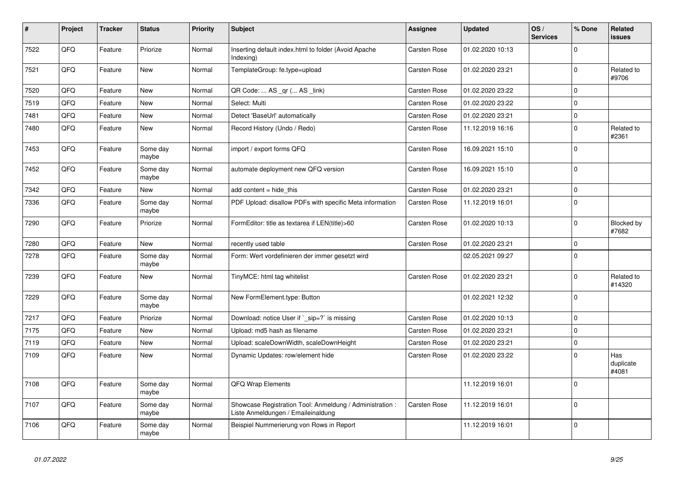| $\sharp$ | <b>Project</b> | <b>Tracker</b> | <b>Status</b>     | <b>Priority</b> | <b>Subject</b>                                                                                 | Assignee            | <b>Updated</b>   | OS/<br><b>Services</b> | % Done      | Related<br><b>issues</b>  |
|----------|----------------|----------------|-------------------|-----------------|------------------------------------------------------------------------------------------------|---------------------|------------------|------------------------|-------------|---------------------------|
| 7522     | QFQ            | Feature        | Priorize          | Normal          | Inserting default index.html to folder (Avoid Apache<br>Indexing)                              | Carsten Rose        | 01.02.2020 10:13 |                        | $\Omega$    |                           |
| 7521     | QFQ            | Feature        | <b>New</b>        | Normal          | TemplateGroup: fe.type=upload                                                                  | <b>Carsten Rose</b> | 01.02.2020 23:21 |                        | $\mathbf 0$ | Related to<br>#9706       |
| 7520     | QFQ            | Feature        | <b>New</b>        | Normal          | QR Code:  AS _qr ( AS _link)                                                                   | Carsten Rose        | 01.02.2020 23:22 |                        | $\Omega$    |                           |
| 7519     | QFQ            | Feature        | <b>New</b>        | Normal          | Select: Multi                                                                                  | Carsten Rose        | 01.02.2020 23:22 |                        | $\Omega$    |                           |
| 7481     | QFQ            | Feature        | New               | Normal          | Detect 'BaseUrl' automatically                                                                 | <b>Carsten Rose</b> | 01.02.2020 23:21 |                        | $\mathbf 0$ |                           |
| 7480     | QFQ            | Feature        | New               | Normal          | Record History (Undo / Redo)                                                                   | Carsten Rose        | 11.12.2019 16:16 |                        | $\Omega$    | Related to<br>#2361       |
| 7453     | QFQ            | Feature        | Some day<br>maybe | Normal          | import / export forms QFQ                                                                      | <b>Carsten Rose</b> | 16.09.2021 15:10 |                        | $\Omega$    |                           |
| 7452     | QFQ            | Feature        | Some day<br>maybe | Normal          | automate deployment new QFQ version                                                            | Carsten Rose        | 16.09.2021 15:10 |                        | $\mathbf 0$ |                           |
| 7342     | QFQ            | Feature        | New               | Normal          | add content = hide this                                                                        | Carsten Rose        | 01.02.2020 23:21 |                        | $\mathbf 0$ |                           |
| 7336     | QFQ            | Feature        | Some day<br>maybe | Normal          | PDF Upload: disallow PDFs with specific Meta information                                       | Carsten Rose        | 11.12.2019 16:01 |                        | $\mathbf 0$ |                           |
| 7290     | QFQ            | Feature        | Priorize          | Normal          | FormEditor: title as textarea if LEN(title)>60                                                 | Carsten Rose        | 01.02.2020 10:13 |                        | $\Omega$    | Blocked by<br>#7682       |
| 7280     | QFQ            | Feature        | <b>New</b>        | Normal          | recently used table                                                                            | <b>Carsten Rose</b> | 01.02.2020 23:21 |                        | $\mathbf 0$ |                           |
| 7278     | QFQ            | Feature        | Some day<br>maybe | Normal          | Form: Wert vordefinieren der immer gesetzt wird                                                |                     | 02.05.2021 09:27 |                        | $\Omega$    |                           |
| 7239     | QFQ            | Feature        | New               | Normal          | TinyMCE: html tag whitelist                                                                    | Carsten Rose        | 01.02.2020 23:21 |                        | 0           | Related to<br>#14320      |
| 7229     | QFQ            | Feature        | Some day<br>maybe | Normal          | New FormElement.type: Button                                                                   |                     | 01.02.2021 12:32 |                        | $\Omega$    |                           |
| 7217     | QFQ            | Feature        | Priorize          | Normal          | Download: notice User if `_sip=?` is missing                                                   | Carsten Rose        | 01.02.2020 10:13 |                        | $\Omega$    |                           |
| 7175     | QFQ            | Feature        | <b>New</b>        | Normal          | Upload: md5 hash as filename                                                                   | Carsten Rose        | 01.02.2020 23:21 |                        | $\mathbf 0$ |                           |
| 7119     | QFQ            | Feature        | <b>New</b>        | Normal          | Upload: scaleDownWidth, scaleDownHeight                                                        | Carsten Rose        | 01.02.2020 23:21 |                        | $\Omega$    |                           |
| 7109     | QFQ            | Feature        | New               | Normal          | Dynamic Updates: row/element hide                                                              | <b>Carsten Rose</b> | 01.02.2020 23:22 |                        | $\Omega$    | Has<br>duplicate<br>#4081 |
| 7108     | QFQ            | Feature        | Some day<br>maybe | Normal          | QFQ Wrap Elements                                                                              |                     | 11.12.2019 16:01 |                        | $\Omega$    |                           |
| 7107     | QFQ            | Feature        | Some day<br>maybe | Normal          | Showcase Registration Tool: Anmeldung / Administration :<br>Liste Anmeldungen / Emaileinaldung | Carsten Rose        | 11.12.2019 16:01 |                        | $\Omega$    |                           |
| 7106     | QFQ            | Feature        | Some day<br>maybe | Normal          | Beispiel Nummerierung von Rows in Report                                                       |                     | 11.12.2019 16:01 |                        | $\Omega$    |                           |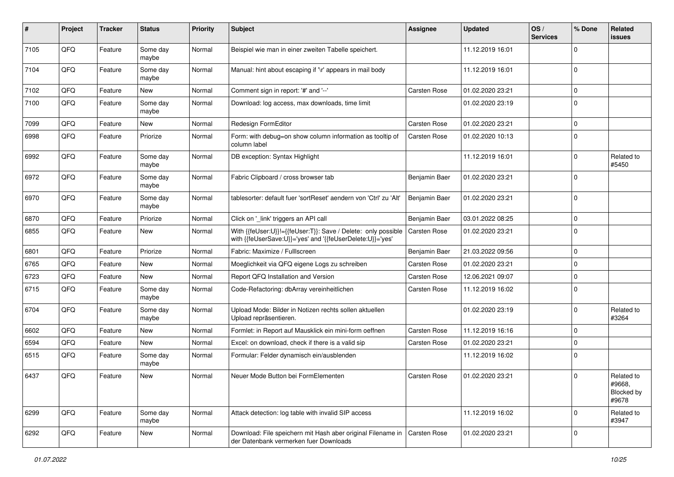| #    | Project | <b>Tracker</b> | <b>Status</b>     | <b>Priority</b> | <b>Subject</b>                                                                                                             | <b>Assignee</b>     | <b>Updated</b>   | OS/<br><b>Services</b> | % Done         | Related<br>issues                           |
|------|---------|----------------|-------------------|-----------------|----------------------------------------------------------------------------------------------------------------------------|---------------------|------------------|------------------------|----------------|---------------------------------------------|
| 7105 | QFQ     | Feature        | Some day<br>maybe | Normal          | Beispiel wie man in einer zweiten Tabelle speichert.                                                                       |                     | 11.12.2019 16:01 |                        | $\Omega$       |                                             |
| 7104 | QFQ     | Feature        | Some day<br>maybe | Normal          | Manual: hint about escaping if '\r' appears in mail body                                                                   |                     | 11.12.2019 16:01 |                        | $\mathbf 0$    |                                             |
| 7102 | QFQ     | Feature        | New               | Normal          | Comment sign in report: '#' and '--'                                                                                       | Carsten Rose        | 01.02.2020 23:21 |                        | $\Omega$       |                                             |
| 7100 | QFQ     | Feature        | Some day<br>maybe | Normal          | Download: log access, max downloads, time limit                                                                            |                     | 01.02.2020 23:19 |                        | $\Omega$       |                                             |
| 7099 | QFQ     | Feature        | New               | Normal          | Redesign FormEditor                                                                                                        | Carsten Rose        | 01.02.2020 23:21 |                        | $\mathbf 0$    |                                             |
| 6998 | QFQ     | Feature        | Priorize          | Normal          | Form: with debug=on show column information as tooltip of<br>column label                                                  | Carsten Rose        | 01.02.2020 10:13 |                        | $\overline{0}$ |                                             |
| 6992 | QFQ     | Feature        | Some day<br>maybe | Normal          | DB exception: Syntax Highlight                                                                                             |                     | 11.12.2019 16:01 |                        | $\Omega$       | Related to<br>#5450                         |
| 6972 | QFQ     | Feature        | Some day<br>maybe | Normal          | Fabric Clipboard / cross browser tab                                                                                       | Benjamin Baer       | 01.02.2020 23:21 |                        | $\Omega$       |                                             |
| 6970 | QFQ     | Feature        | Some day<br>maybe | Normal          | tablesorter: default fuer 'sortReset' aendern von 'Ctrl' zu 'Alt'                                                          | Benjamin Baer       | 01.02.2020 23:21 |                        | $\mathbf 0$    |                                             |
| 6870 | QFQ     | Feature        | Priorize          | Normal          | Click on '_link' triggers an API call                                                                                      | Benjamin Baer       | 03.01.2022 08:25 |                        | $\mathbf 0$    |                                             |
| 6855 | QFQ     | Feature        | New               | Normal          | With {{feUser:U}}!={{feUser:T}}: Save / Delete: only possible<br>with {{feUserSave:U}}='yes' and '{{feUserDelete:U}}='yes' | Carsten Rose        | 01.02.2020 23:21 |                        | $\mathbf 0$    |                                             |
| 6801 | QFQ     | Feature        | Priorize          | Normal          | Fabric: Maximize / Fulllscreen                                                                                             | Benjamin Baer       | 21.03.2022 09:56 |                        | $\overline{0}$ |                                             |
| 6765 | QFQ     | Feature        | New               | Normal          | Moeglichkeit via QFQ eigene Logs zu schreiben                                                                              | Carsten Rose        | 01.02.2020 23:21 |                        | $\mathbf 0$    |                                             |
| 6723 | QFQ     | Feature        | New               | Normal          | Report QFQ Installation and Version                                                                                        | Carsten Rose        | 12.06.2021 09:07 |                        | $\Omega$       |                                             |
| 6715 | QFQ     | Feature        | Some day<br>maybe | Normal          | Code-Refactoring: dbArray vereinheitlichen                                                                                 | Carsten Rose        | 11.12.2019 16:02 |                        | $\Omega$       |                                             |
| 6704 | QFQ     | Feature        | Some day<br>maybe | Normal          | Upload Mode: Bilder in Notizen rechts sollen aktuellen<br>Upload repräsentieren.                                           |                     | 01.02.2020 23:19 |                        | $\mathbf 0$    | Related to<br>#3264                         |
| 6602 | QFQ     | Feature        | New               | Normal          | Formlet: in Report auf Mausklick ein mini-form oeffnen                                                                     | Carsten Rose        | 11.12.2019 16:16 |                        | $\Omega$       |                                             |
| 6594 | QFQ     | Feature        | New               | Normal          | Excel: on download, check if there is a valid sip                                                                          | <b>Carsten Rose</b> | 01.02.2020 23:21 |                        | $\overline{0}$ |                                             |
| 6515 | QFQ     | Feature        | Some day<br>maybe | Normal          | Formular: Felder dynamisch ein/ausblenden                                                                                  |                     | 11.12.2019 16:02 |                        | $\mathbf 0$    |                                             |
| 6437 | QFQ     | Feature        | New               | Normal          | Neuer Mode Button bei FormElementen                                                                                        | Carsten Rose        | 01.02.2020 23:21 |                        | $\mathbf 0$    | Related to<br>#9668,<br>Blocked by<br>#9678 |
| 6299 | QFQ     | Feature        | Some day<br>maybe | Normal          | Attack detection: log table with invalid SIP access                                                                        |                     | 11.12.2019 16:02 |                        | $\mathbf 0$    | Related to<br>#3947                         |
| 6292 | QFQ     | Feature        | New               | Normal          | Download: File speichern mit Hash aber original Filename in<br>der Datenbank vermerken fuer Downloads                      | Carsten Rose        | 01.02.2020 23:21 |                        | 0              |                                             |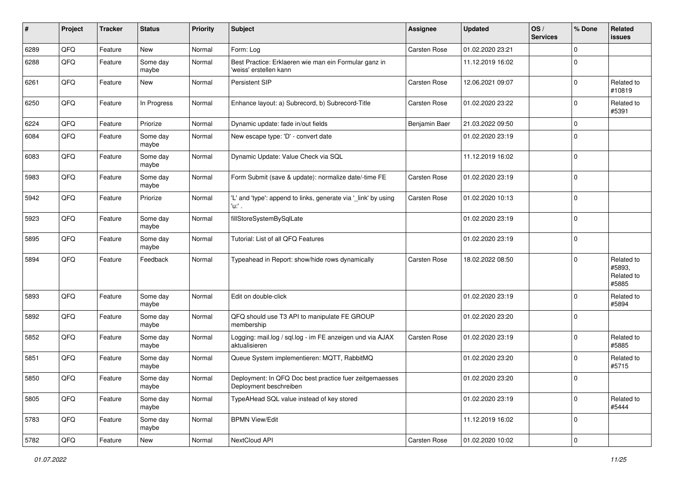| #    | Project | <b>Tracker</b> | <b>Status</b>     | <b>Priority</b> | <b>Subject</b>                                                                    | Assignee      | <b>Updated</b>   | OS/<br><b>Services</b> | % Done              | Related<br><b>issues</b>                    |
|------|---------|----------------|-------------------|-----------------|-----------------------------------------------------------------------------------|---------------|------------------|------------------------|---------------------|---------------------------------------------|
| 6289 | QFQ     | Feature        | <b>New</b>        | Normal          | Form: Log                                                                         | Carsten Rose  | 01.02.2020 23:21 |                        | $\mathbf 0$         |                                             |
| 6288 | QFQ     | Feature        | Some day<br>maybe | Normal          | Best Practice: Erklaeren wie man ein Formular ganz in<br>'weiss' erstellen kann   |               | 11.12.2019 16:02 |                        | $\mathbf 0$         |                                             |
| 6261 | QFQ     | Feature        | New               | Normal          | Persistent SIP                                                                    | Carsten Rose  | 12.06.2021 09:07 |                        | $\mathbf 0$         | Related to<br>#10819                        |
| 6250 | QFQ     | Feature        | In Progress       | Normal          | Enhance layout: a) Subrecord, b) Subrecord-Title                                  | Carsten Rose  | 01.02.2020 23:22 |                        | $\mathbf 0$         | Related to<br>#5391                         |
| 6224 | QFQ     | Feature        | Priorize          | Normal          | Dynamic update: fade in/out fields                                                | Benjamin Baer | 21.03.2022 09:50 |                        | $\mathbf 0$         |                                             |
| 6084 | QFQ     | Feature        | Some day<br>maybe | Normal          | New escape type: 'D' - convert date                                               |               | 01.02.2020 23:19 |                        | $\mathbf 0$         |                                             |
| 6083 | QFQ     | Feature        | Some day<br>maybe | Normal          | Dynamic Update: Value Check via SQL                                               |               | 11.12.2019 16:02 |                        | $\mathbf 0$         |                                             |
| 5983 | QFQ     | Feature        | Some day<br>maybe | Normal          | Form Submit (save & update): normalize date/-time FE                              | Carsten Rose  | 01.02.2020 23:19 |                        | $\mathbf 0$         |                                             |
| 5942 | QFQ     | Feature        | Priorize          | Normal          | 'L' and 'type': append to links, generate via '_link' by using<br>'u:' .          | Carsten Rose  | 01.02.2020 10:13 |                        | $\mathbf 0$         |                                             |
| 5923 | QFQ     | Feature        | Some day<br>maybe | Normal          | fillStoreSystemBySqlLate                                                          |               | 01.02.2020 23:19 |                        | $\mathbf 0$         |                                             |
| 5895 | QFQ     | Feature        | Some day<br>maybe | Normal          | Tutorial: List of all QFQ Features                                                |               | 01.02.2020 23:19 |                        | $\mathbf 0$         |                                             |
| 5894 | QFQ     | Feature        | Feedback          | Normal          | Typeahead in Report: show/hide rows dynamically                                   | Carsten Rose  | 18.02.2022 08:50 |                        | $\Omega$            | Related to<br>#5893,<br>Related to<br>#5885 |
| 5893 | QFQ     | Feature        | Some day<br>maybe | Normal          | Edit on double-click                                                              |               | 01.02.2020 23:19 |                        | $\mathbf 0$         | Related to<br>#5894                         |
| 5892 | QFQ     | Feature        | Some day<br>maybe | Normal          | QFQ should use T3 API to manipulate FE GROUP<br>membership                        |               | 01.02.2020 23:20 |                        | $\mathbf 0$         |                                             |
| 5852 | QFQ     | Feature        | Some day<br>maybe | Normal          | Logging: mail.log / sql.log - im FE anzeigen und via AJAX<br>aktualisieren        | Carsten Rose  | 01.02.2020 23:19 |                        | $\mathbf 0$         | Related to<br>#5885                         |
| 5851 | QFQ     | Feature        | Some day<br>maybe | Normal          | Queue System implementieren: MQTT, RabbitMQ                                       |               | 01.02.2020 23:20 |                        | $\mathbf 0$         | Related to<br>#5715                         |
| 5850 | QFQ     | Feature        | Some day<br>maybe | Normal          | Deployment: In QFQ Doc best practice fuer zeitgemaesses<br>Deployment beschreiben |               | 01.02.2020 23:20 |                        | $\Omega$            |                                             |
| 5805 | QFQ     | Feature        | Some day<br>maybe | Normal          | TypeAHead SQL value instead of key stored                                         |               | 01.02.2020 23:19 |                        | $\mathbf 0$         | Related to<br>#5444                         |
| 5783 | QFQ     | Feature        | Some day<br>maybe | Normal          | <b>BPMN View/Edit</b>                                                             |               | 11.12.2019 16:02 |                        | $\mathbf 0$         |                                             |
| 5782 | QFG     | Feature        | New               | Normal          | NextCloud API                                                                     | Carsten Rose  | 01.02.2020 10:02 |                        | $\mathsf{O}\xspace$ |                                             |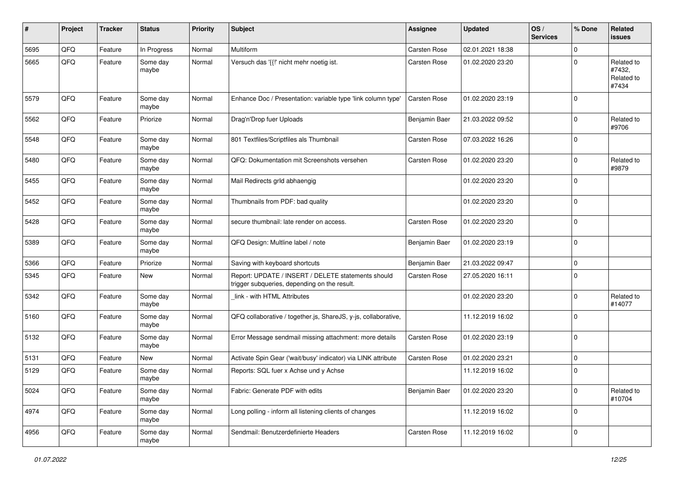| ∦    | Project | <b>Tracker</b> | <b>Status</b>     | <b>Priority</b> | <b>Subject</b>                                                                                     | Assignee            | <b>Updated</b>   | OS/<br><b>Services</b> | % Done      | Related<br>issues                           |
|------|---------|----------------|-------------------|-----------------|----------------------------------------------------------------------------------------------------|---------------------|------------------|------------------------|-------------|---------------------------------------------|
| 5695 | QFQ     | Feature        | In Progress       | Normal          | Multiform                                                                                          | Carsten Rose        | 02.01.2021 18:38 |                        | $\mathbf 0$ |                                             |
| 5665 | QFQ     | Feature        | Some day<br>maybe | Normal          | Versuch das '{{!' nicht mehr noetig ist.                                                           | Carsten Rose        | 01.02.2020 23:20 |                        | $\mathbf 0$ | Related to<br>#7432,<br>Related to<br>#7434 |
| 5579 | QFQ     | Feature        | Some day<br>maybe | Normal          | Enhance Doc / Presentation: variable type 'link column type'                                       | Carsten Rose        | 01.02.2020 23:19 |                        | $\mathbf 0$ |                                             |
| 5562 | QFQ     | Feature        | Priorize          | Normal          | Drag'n'Drop fuer Uploads                                                                           | Benjamin Baer       | 21.03.2022 09:52 |                        | 0           | Related to<br>#9706                         |
| 5548 | QFQ     | Feature        | Some day<br>maybe | Normal          | 801 Textfiles/Scriptfiles als Thumbnail                                                            | Carsten Rose        | 07.03.2022 16:26 |                        | 0           |                                             |
| 5480 | QFQ     | Feature        | Some day<br>maybe | Normal          | QFQ: Dokumentation mit Screenshots versehen                                                        | Carsten Rose        | 01.02.2020 23:20 |                        | $\mathbf 0$ | Related to<br>#9879                         |
| 5455 | QFQ     | Feature        | Some day<br>maybe | Normal          | Mail Redirects grld abhaengig                                                                      |                     | 01.02.2020 23:20 |                        | $\Omega$    |                                             |
| 5452 | QFQ     | Feature        | Some day<br>maybe | Normal          | Thumbnails from PDF: bad quality                                                                   |                     | 01.02.2020 23:20 |                        | $\mathbf 0$ |                                             |
| 5428 | QFQ     | Feature        | Some day<br>maybe | Normal          | secure thumbnail: late render on access.                                                           | Carsten Rose        | 01.02.2020 23:20 |                        | $\mathbf 0$ |                                             |
| 5389 | QFQ     | Feature        | Some day<br>maybe | Normal          | QFQ Design: Multline label / note                                                                  | Benjamin Baer       | 01.02.2020 23:19 |                        | $\mathbf 0$ |                                             |
| 5366 | QFQ     | Feature        | Priorize          | Normal          | Saving with keyboard shortcuts                                                                     | Benjamin Baer       | 21.03.2022 09:47 |                        | $\mathbf 0$ |                                             |
| 5345 | QFQ     | Feature        | New               | Normal          | Report: UPDATE / INSERT / DELETE statements should<br>trigger subqueries, depending on the result. | Carsten Rose        | 27.05.2020 16:11 |                        | $\Omega$    |                                             |
| 5342 | QFQ     | Feature        | Some day<br>maybe | Normal          | link - with HTML Attributes                                                                        |                     | 01.02.2020 23:20 |                        | $\Omega$    | Related to<br>#14077                        |
| 5160 | QFQ     | Feature        | Some day<br>maybe | Normal          | QFQ collaborative / together.js, ShareJS, y-js, collaborative,                                     |                     | 11.12.2019 16:02 |                        | $\mathbf 0$ |                                             |
| 5132 | QFQ     | Feature        | Some day<br>maybe | Normal          | Error Message sendmail missing attachment: more details                                            | <b>Carsten Rose</b> | 01.02.2020 23:19 |                        | $\mathbf 0$ |                                             |
| 5131 | QFQ     | Feature        | New               | Normal          | Activate Spin Gear ('wait/busy' indicator) via LINK attribute                                      | Carsten Rose        | 01.02.2020 23:21 |                        | $\mathbf 0$ |                                             |
| 5129 | QFQ     | Feature        | Some day<br>maybe | Normal          | Reports: SQL fuer x Achse und y Achse                                                              |                     | 11.12.2019 16:02 |                        | 0           |                                             |
| 5024 | QFQ     | Feature        | Some day<br>maybe | Normal          | Fabric: Generate PDF with edits                                                                    | Benjamin Baer       | 01.02.2020 23:20 |                        | $\mathbf 0$ | Related to<br>#10704                        |
| 4974 | QFQ     | Feature        | Some day<br>maybe | Normal          | Long polling - inform all listening clients of changes                                             |                     | 11.12.2019 16:02 |                        | $\mathbf 0$ |                                             |
| 4956 | QFQ     | Feature        | Some day<br>maybe | Normal          | Sendmail: Benutzerdefinierte Headers                                                               | Carsten Rose        | 11.12.2019 16:02 |                        | $\mathbf 0$ |                                             |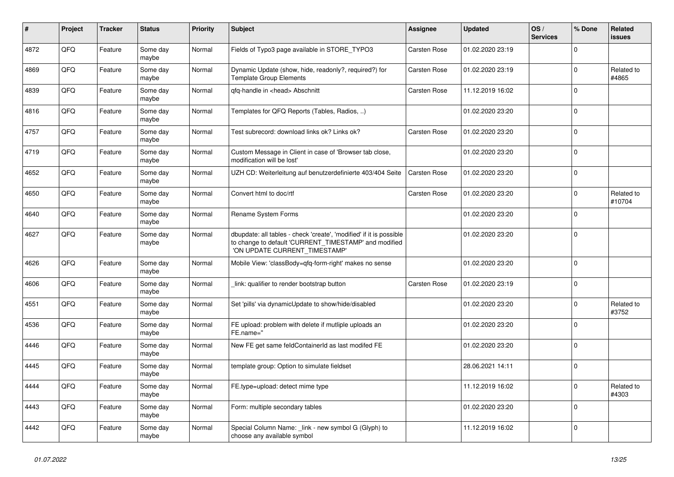| $\vert$ # | Project | <b>Tracker</b> | <b>Status</b>     | <b>Priority</b> | <b>Subject</b>                                                                                                                                                | Assignee            | <b>Updated</b>   | OS/<br><b>Services</b> | % Done      | Related<br><b>issues</b> |
|-----------|---------|----------------|-------------------|-----------------|---------------------------------------------------------------------------------------------------------------------------------------------------------------|---------------------|------------------|------------------------|-------------|--------------------------|
| 4872      | QFQ     | Feature        | Some day<br>maybe | Normal          | Fields of Typo3 page available in STORE_TYPO3                                                                                                                 | <b>Carsten Rose</b> | 01.02.2020 23:19 |                        | $\Omega$    |                          |
| 4869      | QFQ     | Feature        | Some day<br>maybe | Normal          | Dynamic Update (show, hide, readonly?, required?) for<br><b>Template Group Elements</b>                                                                       | <b>Carsten Rose</b> | 01.02.2020 23:19 |                        | $\Omega$    | Related to<br>#4865      |
| 4839      | QFQ     | Feature        | Some day<br>maybe | Normal          | qfq-handle in <head> Abschnitt</head>                                                                                                                         | Carsten Rose        | 11.12.2019 16:02 |                        | $\Omega$    |                          |
| 4816      | QFQ     | Feature        | Some day<br>maybe | Normal          | Templates for QFQ Reports (Tables, Radios, )                                                                                                                  |                     | 01.02.2020 23:20 |                        | $\Omega$    |                          |
| 4757      | QFQ     | Feature        | Some day<br>maybe | Normal          | Test subrecord: download links ok? Links ok?                                                                                                                  | Carsten Rose        | 01.02.2020 23:20 |                        | $\mathbf 0$ |                          |
| 4719      | QFQ     | Feature        | Some day<br>maybe | Normal          | Custom Message in Client in case of 'Browser tab close,<br>modification will be lost'                                                                         |                     | 01.02.2020 23:20 |                        | $\Omega$    |                          |
| 4652      | QFQ     | Feature        | Some day<br>maybe | Normal          | UZH CD: Weiterleitung auf benutzerdefinierte 403/404 Seite                                                                                                    | Carsten Rose        | 01.02.2020 23:20 |                        | $\Omega$    |                          |
| 4650      | QFQ     | Feature        | Some day<br>maybe | Normal          | Convert html to doc/rtf                                                                                                                                       | Carsten Rose        | 01.02.2020 23:20 |                        | $\Omega$    | Related to<br>#10704     |
| 4640      | QFQ     | Feature        | Some day<br>maybe | Normal          | Rename System Forms                                                                                                                                           |                     | 01.02.2020 23:20 |                        | $\Omega$    |                          |
| 4627      | QFQ     | Feature        | Some day<br>maybe | Normal          | dbupdate: all tables - check 'create', 'modified' if it is possible<br>to change to default 'CURRENT TIMESTAMP' and modified<br>'ON UPDATE CURRENT_TIMESTAMP' |                     | 01.02.2020 23:20 |                        | $\Omega$    |                          |
| 4626      | QFQ     | Feature        | Some day<br>maybe | Normal          | Mobile View: 'classBody=qfq-form-right' makes no sense                                                                                                        |                     | 01.02.2020 23:20 |                        | $\Omega$    |                          |
| 4606      | QFQ     | Feature        | Some day<br>maybe | Normal          | link: qualifier to render bootstrap button                                                                                                                    | <b>Carsten Rose</b> | 01.02.2020 23:19 |                        | $\Omega$    |                          |
| 4551      | QFQ     | Feature        | Some day<br>maybe | Normal          | Set 'pills' via dynamicUpdate to show/hide/disabled                                                                                                           |                     | 01.02.2020 23:20 |                        | $\Omega$    | Related to<br>#3752      |
| 4536      | QFQ     | Feature        | Some day<br>maybe | Normal          | FE upload: problem with delete if mutliple uploads an<br>FE.name="                                                                                            |                     | 01.02.2020 23:20 |                        | $\Omega$    |                          |
| 4446      | QFQ     | Feature        | Some day<br>maybe | Normal          | New FE get same feldContainerId as last modifed FE                                                                                                            |                     | 01.02.2020 23:20 |                        | $\mathbf 0$ |                          |
| 4445      | QFQ     | Feature        | Some day<br>maybe | Normal          | template group: Option to simulate fieldset                                                                                                                   |                     | 28.06.2021 14:11 |                        | $\mathbf 0$ |                          |
| 4444      | QFQ     | Feature        | Some day<br>maybe | Normal          | FE.type=upload: detect mime type                                                                                                                              |                     | 11.12.2019 16:02 |                        | $\Omega$    | Related to<br>#4303      |
| 4443      | QFQ     | Feature        | Some day<br>maybe | Normal          | Form: multiple secondary tables                                                                                                                               |                     | 01.02.2020 23:20 |                        | $\Omega$    |                          |
| 4442      | QFQ     | Feature        | Some day<br>maybe | Normal          | Special Column Name: link - new symbol G (Glyph) to<br>choose any available symbol                                                                            |                     | 11.12.2019 16:02 |                        | $\mathbf 0$ |                          |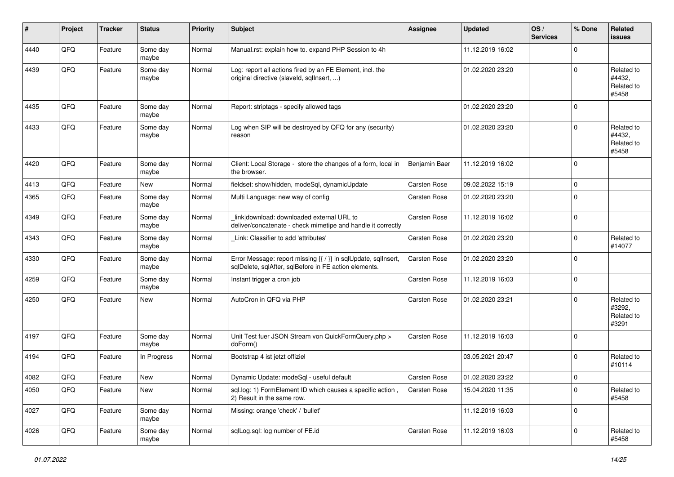| #    | Project | <b>Tracker</b> | <b>Status</b>     | <b>Priority</b> | <b>Subject</b>                                                                                                          | <b>Assignee</b>     | <b>Updated</b>   | OS/<br><b>Services</b> | % Done      | Related<br>issues                           |
|------|---------|----------------|-------------------|-----------------|-------------------------------------------------------------------------------------------------------------------------|---------------------|------------------|------------------------|-------------|---------------------------------------------|
| 4440 | QFQ     | Feature        | Some day<br>maybe | Normal          | Manual.rst: explain how to. expand PHP Session to 4h                                                                    |                     | 11.12.2019 16:02 |                        | $\Omega$    |                                             |
| 4439 | QFQ     | Feature        | Some day<br>maybe | Normal          | Log: report all actions fired by an FE Element, incl. the<br>original directive (slaveld, sqllnsert, )                  |                     | 01.02.2020 23:20 |                        | $\Omega$    | Related to<br>#4432,<br>Related to<br>#5458 |
| 4435 | QFQ     | Feature        | Some day<br>maybe | Normal          | Report: striptags - specify allowed tags                                                                                |                     | 01.02.2020 23:20 |                        | $\Omega$    |                                             |
| 4433 | QFQ     | Feature        | Some day<br>maybe | Normal          | Log when SIP will be destroyed by QFQ for any (security)<br>reason                                                      |                     | 01.02.2020 23:20 |                        | $\Omega$    | Related to<br>#4432.<br>Related to<br>#5458 |
| 4420 | QFQ     | Feature        | Some day<br>maybe | Normal          | Client: Local Storage - store the changes of a form, local in<br>the browser.                                           | Benjamin Baer       | 11.12.2019 16:02 |                        | $\Omega$    |                                             |
| 4413 | QFQ     | Feature        | New               | Normal          | fieldset: show/hidden, modeSql, dynamicUpdate                                                                           | <b>Carsten Rose</b> | 09.02.2022 15:19 |                        | $\Omega$    |                                             |
| 4365 | QFQ     | Feature        | Some day<br>maybe | Normal          | Multi Language: new way of config                                                                                       | Carsten Rose        | 01.02.2020 23:20 |                        | $\Omega$    |                                             |
| 4349 | QFQ     | Feature        | Some day<br>maybe | Normal          | link download: downloaded external URL to<br>deliver/concatenate - check mimetipe and handle it correctly               | Carsten Rose        | 11.12.2019 16:02 |                        | $\Omega$    |                                             |
| 4343 | QFQ     | Feature        | Some day<br>maybe | Normal          | Link: Classifier to add 'attributes'                                                                                    | Carsten Rose        | 01.02.2020 23:20 |                        | $\Omega$    | Related to<br>#14077                        |
| 4330 | QFQ     | Feature        | Some day<br>maybe | Normal          | Error Message: report missing {{ / }} in sqlUpdate, sqlInsert,<br>sqlDelete, sqlAfter, sqlBefore in FE action elements. | Carsten Rose        | 01.02.2020 23:20 |                        | $\Omega$    |                                             |
| 4259 | QFQ     | Feature        | Some day<br>maybe | Normal          | Instant trigger a cron job                                                                                              | Carsten Rose        | 11.12.2019 16:03 |                        | $\Omega$    |                                             |
| 4250 | QFQ     | Feature        | New               | Normal          | AutoCron in QFQ via PHP                                                                                                 | <b>Carsten Rose</b> | 01.02.2020 23:21 |                        | $\Omega$    | Related to<br>#3292.<br>Related to<br>#3291 |
| 4197 | QFQ     | Feature        | Some day<br>maybe | Normal          | Unit Test fuer JSON Stream von QuickFormQuery.php ><br>doForm()                                                         | Carsten Rose        | 11.12.2019 16:03 |                        | $\Omega$    |                                             |
| 4194 | QFQ     | Feature        | In Progress       | Normal          | Bootstrap 4 ist jetzt offiziel                                                                                          |                     | 03.05.2021 20:47 |                        | $\Omega$    | Related to<br>#10114                        |
| 4082 | QFQ     | Feature        | New               | Normal          | Dynamic Update: modeSql - useful default                                                                                | Carsten Rose        | 01.02.2020 23:22 |                        | $\Omega$    |                                             |
| 4050 | QFQ     | Feature        | New               | Normal          | sql.log: 1) FormElement ID which causes a specific action,<br>2) Result in the same row.                                | Carsten Rose        | 15.04.2020 11:35 |                        | 0           | Related to<br>#5458                         |
| 4027 | QFQ     | Feature        | Some day<br>maybe | Normal          | Missing: orange 'check' / 'bullet'                                                                                      |                     | 11.12.2019 16:03 |                        | $\mathbf 0$ |                                             |
| 4026 | QFQ     | Feature        | Some day<br>maybe | Normal          | sqlLog.sql: log number of FE.id                                                                                         | Carsten Rose        | 11.12.2019 16:03 |                        | 0           | Related to<br>#5458                         |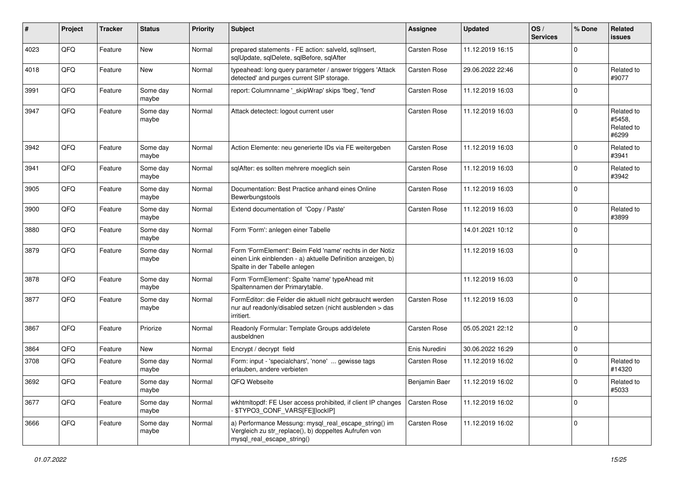| #    | Project | <b>Tracker</b> | <b>Status</b>     | <b>Priority</b> | Subject                                                                                                                                                  | <b>Assignee</b>     | <b>Updated</b>   | OS/<br><b>Services</b> | % Done      | Related<br>issues                           |
|------|---------|----------------|-------------------|-----------------|----------------------------------------------------------------------------------------------------------------------------------------------------------|---------------------|------------------|------------------------|-------------|---------------------------------------------|
| 4023 | QFQ     | Feature        | New               | Normal          | prepared statements - FE action: salveld, sqlInsert,<br>sqlUpdate, sqlDelete, sqlBefore, sqlAfter                                                        | <b>Carsten Rose</b> | 11.12.2019 16:15 |                        | $\Omega$    |                                             |
| 4018 | QFQ     | Feature        | New               | Normal          | typeahead: long query parameter / answer triggers 'Attack<br>detected' and purges current SIP storage.                                                   | Carsten Rose        | 29.06.2022 22:46 |                        | $\mathbf 0$ | Related to<br>#9077                         |
| 3991 | QFQ     | Feature        | Some day<br>maybe | Normal          | report: Columnname ' skipWrap' skips 'fbeg', 'fend'                                                                                                      | Carsten Rose        | 11.12.2019 16:03 |                        | $\Omega$    |                                             |
| 3947 | QFQ     | Feature        | Some day<br>maybe | Normal          | Attack detectect: logout current user                                                                                                                    | Carsten Rose        | 11.12.2019 16:03 |                        | 0           | Related to<br>#5458,<br>Related to<br>#6299 |
| 3942 | QFQ     | Feature        | Some day<br>maybe | Normal          | Action Elemente: neu generierte IDs via FE weitergeben                                                                                                   | Carsten Rose        | 11.12.2019 16:03 |                        | $\Omega$    | Related to<br>#3941                         |
| 3941 | QFQ     | Feature        | Some day<br>maybe | Normal          | sqlAfter: es sollten mehrere moeglich sein                                                                                                               | Carsten Rose        | 11.12.2019 16:03 |                        | $\mathbf 0$ | Related to<br>#3942                         |
| 3905 | QFQ     | Feature        | Some day<br>maybe | Normal          | Documentation: Best Practice anhand eines Online<br>Bewerbungstools                                                                                      | Carsten Rose        | 11.12.2019 16:03 |                        | $\Omega$    |                                             |
| 3900 | QFQ     | Feature        | Some day<br>maybe | Normal          | Extend documentation of 'Copy / Paste'                                                                                                                   | Carsten Rose        | 11.12.2019 16:03 |                        | $\mathbf 0$ | Related to<br>#3899                         |
| 3880 | QFQ     | Feature        | Some day<br>maybe | Normal          | Form 'Form': anlegen einer Tabelle                                                                                                                       |                     | 14.01.2021 10:12 |                        | $\Omega$    |                                             |
| 3879 | QFQ     | Feature        | Some day<br>maybe | Normal          | Form 'FormElement': Beim Feld 'name' rechts in der Notiz<br>einen Link einblenden - a) aktuelle Definition anzeigen, b)<br>Spalte in der Tabelle anlegen |                     | 11.12.2019 16:03 |                        | $\mathbf 0$ |                                             |
| 3878 | QFQ     | Feature        | Some day<br>maybe | Normal          | Form 'FormElement': Spalte 'name' typeAhead mit<br>Spaltennamen der Primarytable.                                                                        |                     | 11.12.2019 16:03 |                        | $\mathbf 0$ |                                             |
| 3877 | QFQ     | Feature        | Some day<br>maybe | Normal          | FormEditor: die Felder die aktuell nicht gebraucht werden<br>nur auf readonly/disabled setzen (nicht ausblenden > das<br>irritiert.                      | Carsten Rose        | 11.12.2019 16:03 |                        | $\mathbf 0$ |                                             |
| 3867 | QFQ     | Feature        | Priorize          | Normal          | Readonly Formular: Template Groups add/delete<br>ausbeldnen                                                                                              | <b>Carsten Rose</b> | 05.05.2021 22:12 |                        | $\mathbf 0$ |                                             |
| 3864 | QFQ     | Feature        | New               | Normal          | Encrypt / decrypt field                                                                                                                                  | Enis Nuredini       | 30.06.2022 16:29 |                        | $\mathbf 0$ |                                             |
| 3708 | QFQ     | Feature        | Some day<br>maybe | Normal          | Form: input - 'specialchars', 'none'  gewisse tags<br>erlauben, andere verbieten                                                                         | Carsten Rose        | 11.12.2019 16:02 |                        | $\Omega$    | Related to<br>#14320                        |
| 3692 | QFQ     | Feature        | Some day<br>maybe | Normal          | QFQ Webseite                                                                                                                                             | Benjamin Baer       | 11.12.2019 16:02 |                        | $\pmb{0}$   | Related to<br>#5033                         |
| 3677 | QFQ     | Feature        | Some day<br>maybe | Normal          | wkhtmltopdf: FE User access prohibited, if client IP changes<br>\$TYPO3_CONF_VARS[FE][lockIP]                                                            | Carsten Rose        | 11.12.2019 16:02 |                        | $\Omega$    |                                             |
| 3666 | QFQ     | Feature        | Some day<br>maybe | Normal          | a) Performance Messung: mysql real escape string() im<br>Vergleich zu str_replace(), b) doppeltes Aufrufen von<br>mysql_real_escape_string()             | Carsten Rose        | 11.12.2019 16:02 |                        | $\mathbf 0$ |                                             |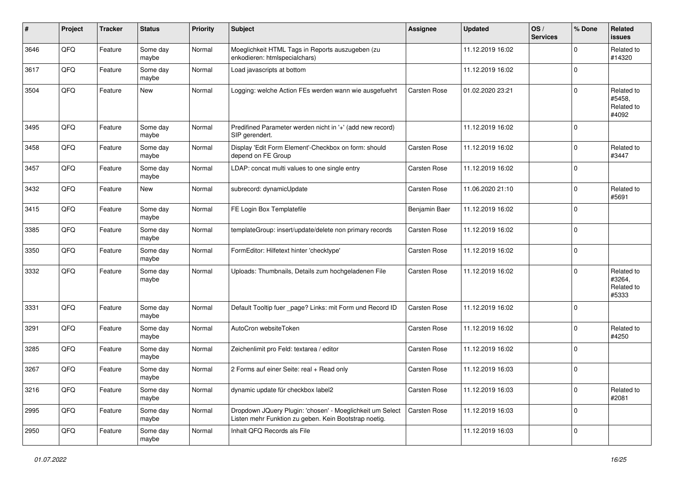| #    | Project | <b>Tracker</b> | <b>Status</b>     | <b>Priority</b> | <b>Subject</b>                                                                                                     | <b>Assignee</b> | <b>Updated</b>   | OS/<br><b>Services</b> | % Done         | Related<br><b>issues</b>                    |
|------|---------|----------------|-------------------|-----------------|--------------------------------------------------------------------------------------------------------------------|-----------------|------------------|------------------------|----------------|---------------------------------------------|
| 3646 | QFQ     | Feature        | Some day<br>maybe | Normal          | Moeglichkeit HTML Tags in Reports auszugeben (zu<br>enkodieren: htmlspecialchars)                                  |                 | 11.12.2019 16:02 |                        | $\Omega$       | Related to<br>#14320                        |
| 3617 | QFQ     | Feature        | Some day<br>maybe | Normal          | Load javascripts at bottom                                                                                         |                 | 11.12.2019 16:02 |                        | $\mathbf 0$    |                                             |
| 3504 | QFQ     | Feature        | New               | Normal          | Logging: welche Action FEs werden wann wie ausgefuehrt                                                             | Carsten Rose    | 01.02.2020 23:21 |                        | $\Omega$       | Related to<br>#5458,<br>Related to<br>#4092 |
| 3495 | QFQ     | Feature        | Some day<br>maybe | Normal          | Predifined Parameter werden nicht in '+' (add new record)<br>SIP gerendert.                                        |                 | 11.12.2019 16:02 |                        | $\Omega$       |                                             |
| 3458 | QFQ     | Feature        | Some day<br>maybe | Normal          | Display 'Edit Form Element'-Checkbox on form: should<br>depend on FE Group                                         | Carsten Rose    | 11.12.2019 16:02 |                        | $\Omega$       | Related to<br>#3447                         |
| 3457 | QFQ     | Feature        | Some day<br>maybe | Normal          | LDAP: concat multi values to one single entry                                                                      | Carsten Rose    | 11.12.2019 16:02 |                        | $\Omega$       |                                             |
| 3432 | QFQ     | Feature        | New               | Normal          | subrecord: dynamicUpdate                                                                                           | Carsten Rose    | 11.06.2020 21:10 |                        | $\Omega$       | Related to<br>#5691                         |
| 3415 | QFQ     | Feature        | Some day<br>maybe | Normal          | FE Login Box Templatefile                                                                                          | Benjamin Baer   | 11.12.2019 16:02 |                        | $\mathbf 0$    |                                             |
| 3385 | QFQ     | Feature        | Some day<br>maybe | Normal          | templateGroup: insert/update/delete non primary records                                                            | Carsten Rose    | 11.12.2019 16:02 |                        | $\Omega$       |                                             |
| 3350 | QFQ     | Feature        | Some day<br>maybe | Normal          | FormEditor: Hilfetext hinter 'checktype'                                                                           | Carsten Rose    | 11.12.2019 16:02 |                        | $\mathbf 0$    |                                             |
| 3332 | QFQ     | Feature        | Some day<br>maybe | Normal          | Uploads: Thumbnails, Details zum hochgeladenen File                                                                | Carsten Rose    | 11.12.2019 16:02 |                        | $\Omega$       | Related to<br>#3264,<br>Related to<br>#5333 |
| 3331 | QFQ     | Feature        | Some day<br>maybe | Normal          | Default Tooltip fuer _page? Links: mit Form und Record ID                                                          | Carsten Rose    | 11.12.2019 16:02 |                        | $\overline{0}$ |                                             |
| 3291 | QFQ     | Feature        | Some day<br>maybe | Normal          | AutoCron websiteToken                                                                                              | Carsten Rose    | 11.12.2019 16:02 |                        | $\mathbf 0$    | Related to<br>#4250                         |
| 3285 | QFQ     | Feature        | Some day<br>maybe | Normal          | Zeichenlimit pro Feld: textarea / editor                                                                           | Carsten Rose    | 11.12.2019 16:02 |                        | $\mathbf 0$    |                                             |
| 3267 | QFQ     | Feature        | Some day<br>maybe | Normal          | 2 Forms auf einer Seite: real + Read only                                                                          | Carsten Rose    | 11.12.2019 16:03 |                        | $\Omega$       |                                             |
| 3216 | QFQ     | Feature        | Some day<br>maybe | Normal          | dynamic update für checkbox label2                                                                                 | Carsten Rose    | 11.12.2019 16:03 |                        | 0              | Related to<br>#2081                         |
| 2995 | QFQ     | Feature        | Some day<br>maybe | Normal          | Dropdown JQuery Plugin: 'chosen' - Moeglichkeit um Select<br>Listen mehr Funktion zu geben. Kein Bootstrap noetig. | Carsten Rose    | 11.12.2019 16:03 |                        | 0              |                                             |
| 2950 | QFQ     | Feature        | Some day<br>maybe | Normal          | Inhalt QFQ Records als File                                                                                        |                 | 11.12.2019 16:03 |                        | $\mathbf 0$    |                                             |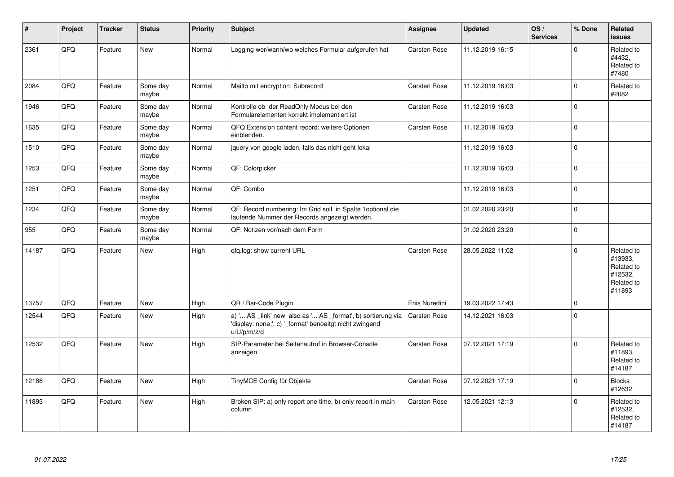| $\vert$ # | Project | <b>Tracker</b> | <b>Status</b>     | <b>Priority</b> | <b>Subject</b>                                                                                                                        | <b>Assignee</b>     | <b>Updated</b>   | OS/<br><b>Services</b> | % Done       | Related<br><b>issues</b>                                               |
|-----------|---------|----------------|-------------------|-----------------|---------------------------------------------------------------------------------------------------------------------------------------|---------------------|------------------|------------------------|--------------|------------------------------------------------------------------------|
| 2361      | QFQ     | Feature        | <b>New</b>        | Normal          | Logging wer/wann/wo welches Formular aufgerufen hat                                                                                   | <b>Carsten Rose</b> | 11.12.2019 16:15 |                        | $\mathbf 0$  | Related to<br>#4432.<br>Related to<br>#7480                            |
| 2084      | QFQ     | Feature        | Some day<br>maybe | Normal          | Mailto mit encryption: Subrecord                                                                                                      | Carsten Rose        | 11.12.2019 16:03 |                        | $\mathbf 0$  | Related to<br>#2082                                                    |
| 1946      | QFQ     | Feature        | Some day<br>maybe | Normal          | Kontrolle ob der ReadOnly Modus bei den<br>Formularelementen korrekt implementiert ist                                                | Carsten Rose        | 11.12.2019 16:03 |                        | $\mathbf 0$  |                                                                        |
| 1635      | QFQ     | Feature        | Some day<br>maybe | Normal          | QFQ Extension content record: weitere Optionen<br>einblenden.                                                                         | Carsten Rose        | 11.12.2019 16:03 |                        | $\mathbf{0}$ |                                                                        |
| 1510      | QFQ     | Feature        | Some day<br>maybe | Normal          | jquery von google laden, falls das nicht geht lokal                                                                                   |                     | 11.12.2019 16:03 |                        | $\mathbf 0$  |                                                                        |
| 1253      | QFQ     | Feature        | Some day<br>maybe | Normal          | QF: Colorpicker                                                                                                                       |                     | 11.12.2019 16:03 |                        | $\mathbf 0$  |                                                                        |
| 1251      | QFQ     | Feature        | Some day<br>maybe | Normal          | QF: Combo                                                                                                                             |                     | 11.12.2019 16:03 |                        | $\mathbf 0$  |                                                                        |
| 1234      | QFQ     | Feature        | Some day<br>maybe | Normal          | QF: Record numbering: Im Grid soll in Spalte 1 optional die<br>laufende Nummer der Records angezeigt werden.                          |                     | 01.02.2020 23:20 |                        | $\Omega$     |                                                                        |
| 955       | QFQ     | Feature        | Some day<br>maybe | Normal          | QF: Notizen vor/nach dem Form                                                                                                         |                     | 01.02.2020 23:20 |                        | $\mathbf 0$  |                                                                        |
| 14187     | QFQ     | Feature        | <b>New</b>        | High            | qfq.log: show current URL                                                                                                             | Carsten Rose        | 28.05.2022 11:02 |                        | $\Omega$     | Related to<br>#13933.<br>Related to<br>#12532,<br>Related to<br>#11893 |
| 13757     | QFQ     | Feature        | New               | High            | QR / Bar-Code Plugin                                                                                                                  | Enis Nuredini       | 19.03.2022 17:43 |                        | $\Omega$     |                                                                        |
| 12544     | QFQ     | Feature        | New               | High            | a) ' AS _link' new also as ' AS _format', b) sortierung via<br>'display: none;', c) ' format' benoeitgt nicht zwingend<br>u/U/p/m/z/d | Carsten Rose        | 14.12.2021 16:03 |                        | $\pmb{0}$    |                                                                        |
| 12532     | QFQ     | Feature        | New               | High            | SIP-Parameter bei Seitenaufruf in Browser-Console<br>anzeigen                                                                         | Carsten Rose        | 07.12.2021 17:19 |                        | $\Omega$     | Related to<br>#11893,<br>Related to<br>#14187                          |
| 12186     | QFQ     | Feature        | <b>New</b>        | High            | TinyMCE Config für Objekte                                                                                                            | Carsten Rose        | 07.12.2021 17:19 |                        | $\Omega$     | <b>Blocks</b><br>#12632                                                |
| 11893     | QFQ     | Feature        | New               | High            | Broken SIP: a) only report one time, b) only report in main<br>column                                                                 | Carsten Rose        | 12.05.2021 12:13 |                        | $\mathbf 0$  | Related to<br>#12532,<br>Related to<br>#14187                          |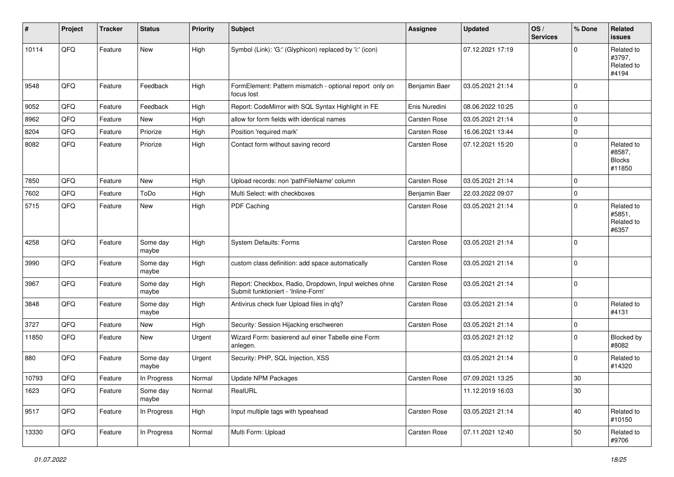| #     | Project | <b>Tracker</b> | <b>Status</b>     | <b>Priority</b> | <b>Subject</b>                                                                               | <b>Assignee</b>     | <b>Updated</b>   | OS/<br><b>Services</b> | % Done      | Related<br>issues                               |
|-------|---------|----------------|-------------------|-----------------|----------------------------------------------------------------------------------------------|---------------------|------------------|------------------------|-------------|-------------------------------------------------|
| 10114 | QFQ     | Feature        | New               | High            | Symbol (Link): 'G:' (Glyphicon) replaced by 'i:' (icon)                                      |                     | 07.12.2021 17:19 |                        | $\Omega$    | Related to<br>#3797,<br>Related to<br>#4194     |
| 9548  | QFQ     | Feature        | Feedback          | High            | FormElement: Pattern mismatch - optional report only on<br>focus lost                        | Benjamin Baer       | 03.05.2021 21:14 |                        | $\Omega$    |                                                 |
| 9052  | QFQ     | Feature        | Feedback          | High            | Report: CodeMirror with SQL Syntax Highlight in FE                                           | Enis Nuredini       | 08.06.2022 10:25 |                        | 0           |                                                 |
| 8962  | QFQ     | Feature        | New               | High            | allow for form fields with identical names                                                   | Carsten Rose        | 03.05.2021 21:14 |                        | $\Omega$    |                                                 |
| 8204  | QFQ     | Feature        | Priorize          | High            | Position 'required mark'                                                                     | Carsten Rose        | 16.06.2021 13:44 |                        | $\Omega$    |                                                 |
| 8082  | QFQ     | Feature        | Priorize          | High            | Contact form without saving record                                                           | Carsten Rose        | 07.12.2021 15:20 |                        | $\mathbf 0$ | Related to<br>#8587,<br><b>Blocks</b><br>#11850 |
| 7850  | QFQ     | Feature        | <b>New</b>        | High            | Upload records: non 'pathFileName' column                                                    | Carsten Rose        | 03.05.2021 21:14 |                        | $\Omega$    |                                                 |
| 7602  | QFQ     | Feature        | ToDo              | High            | Multi Select: with checkboxes                                                                | Benjamin Baer       | 22.03.2022 09:07 |                        | $\mathbf 0$ |                                                 |
| 5715  | QFQ     | Feature        | New               | High            | PDF Caching                                                                                  | Carsten Rose        | 03.05.2021 21:14 |                        | $\Omega$    | Related to<br>#5851,<br>Related to<br>#6357     |
| 4258  | QFQ     | Feature        | Some day<br>maybe | High            | System Defaults: Forms                                                                       | Carsten Rose        | 03.05.2021 21:14 |                        | $\Omega$    |                                                 |
| 3990  | QFQ     | Feature        | Some day<br>maybe | High            | custom class definition: add space automatically                                             | Carsten Rose        | 03.05.2021 21:14 |                        | $\Omega$    |                                                 |
| 3967  | QFQ     | Feature        | Some day<br>maybe | High            | Report: Checkbox, Radio, Dropdown, Input welches ohne<br>Submit funktioniert - 'Inline-Form' | Carsten Rose        | 03.05.2021 21:14 |                        | $\mathbf 0$ |                                                 |
| 3848  | QFQ     | Feature        | Some day<br>maybe | High            | Antivirus check fuer Upload files in qfq?                                                    | Carsten Rose        | 03.05.2021 21:14 |                        | $\Omega$    | Related to<br>#4131                             |
| 3727  | QFQ     | Feature        | New               | High            | Security: Session Hijacking erschweren                                                       | Carsten Rose        | 03.05.2021 21:14 |                        | $\mathbf 0$ |                                                 |
| 11850 | QFQ     | Feature        | New               | Urgent          | Wizard Form: basierend auf einer Tabelle eine Form<br>anlegen.                               |                     | 03.05.2021 21:12 |                        | $\Omega$    | Blocked by<br>#8082                             |
| 880   | QFQ     | Feature        | Some day<br>maybe | Urgent          | Security: PHP, SQL Injection, XSS                                                            |                     | 03.05.2021 21:14 |                        | $\Omega$    | Related to<br>#14320                            |
| 10793 | QFQ     | Feature        | In Progress       | Normal          | <b>Update NPM Packages</b>                                                                   | <b>Carsten Rose</b> | 07.09.2021 13:25 |                        | 30          |                                                 |
| 1623  | QFQ     | Feature        | Some day<br>maybe | Normal          | RealURL                                                                                      |                     | 11.12.2019 16:03 |                        | $30\,$      |                                                 |
| 9517  | QFQ     | Feature        | In Progress       | High            | Input multiple tags with typeahead                                                           | Carsten Rose        | 03.05.2021 21:14 |                        | 40          | Related to<br>#10150                            |
| 13330 | QFQ     | Feature        | In Progress       | Normal          | Multi Form: Upload                                                                           | Carsten Rose        | 07.11.2021 12:40 |                        | 50          | Related to<br>#9706                             |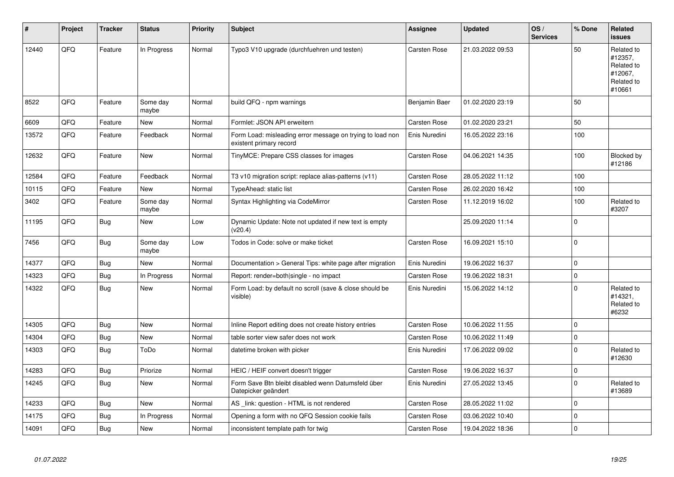| #     | Project | <b>Tracker</b> | <b>Status</b>     | <b>Priority</b> | <b>Subject</b>                                                                       | Assignee            | <b>Updated</b>   | OS/<br><b>Services</b> | % Done      | Related<br><b>issues</b>                                               |
|-------|---------|----------------|-------------------|-----------------|--------------------------------------------------------------------------------------|---------------------|------------------|------------------------|-------------|------------------------------------------------------------------------|
| 12440 | QFQ     | Feature        | In Progress       | Normal          | Typo3 V10 upgrade (durchfuehren und testen)                                          | <b>Carsten Rose</b> | 21.03.2022 09:53 |                        | 50          | Related to<br>#12357,<br>Related to<br>#12067,<br>Related to<br>#10661 |
| 8522  | QFQ     | Feature        | Some day<br>maybe | Normal          | build QFQ - npm warnings                                                             | Benjamin Baer       | 01.02.2020 23:19 |                        | 50          |                                                                        |
| 6609  | QFQ     | Feature        | New               | Normal          | Formlet: JSON API erweitern                                                          | Carsten Rose        | 01.02.2020 23:21 |                        | 50          |                                                                        |
| 13572 | QFQ     | Feature        | Feedback          | Normal          | Form Load: misleading error message on trying to load non<br>existent primary record | Enis Nuredini       | 16.05.2022 23:16 |                        | 100         |                                                                        |
| 12632 | QFQ     | Feature        | New               | Normal          | TinyMCE: Prepare CSS classes for images                                              | <b>Carsten Rose</b> | 04.06.2021 14:35 |                        | 100         | Blocked by<br>#12186                                                   |
| 12584 | QFQ     | Feature        | Feedback          | Normal          | T3 v10 migration script: replace alias-patterns (v11)                                | <b>Carsten Rose</b> | 28.05.2022 11:12 |                        | 100         |                                                                        |
| 10115 | QFQ     | Feature        | New               | Normal          | TypeAhead: static list                                                               | Carsten Rose        | 26.02.2020 16:42 |                        | 100         |                                                                        |
| 3402  | QFQ     | Feature        | Some day<br>maybe | Normal          | Syntax Highlighting via CodeMirror                                                   | Carsten Rose        | 11.12.2019 16:02 |                        | 100         | Related to<br>#3207                                                    |
| 11195 | QFQ     | <b>Bug</b>     | New               | Low             | Dynamic Update: Note not updated if new text is empty<br>(v20.4)                     |                     | 25.09.2020 11:14 |                        | $\Omega$    |                                                                        |
| 7456  | QFQ     | <b>Bug</b>     | Some day<br>maybe | Low             | Todos in Code: solve or make ticket                                                  | <b>Carsten Rose</b> | 16.09.2021 15:10 |                        | $\Omega$    |                                                                        |
| 14377 | QFQ     | <b>Bug</b>     | New               | Normal          | Documentation > General Tips: white page after migration                             | Enis Nuredini       | 19.06.2022 16:37 |                        | $\Omega$    |                                                                        |
| 14323 | QFQ     | Bug            | In Progress       | Normal          | Report: render=both single - no impact                                               | Carsten Rose        | 19.06.2022 18:31 |                        | $\mathbf 0$ |                                                                        |
| 14322 | QFQ     | <b>Bug</b>     | <b>New</b>        | Normal          | Form Load: by default no scroll (save & close should be<br>visible)                  | Enis Nuredini       | 15.06.2022 14:12 |                        | $\Omega$    | Related to<br>#14321,<br>Related to<br>#6232                           |
| 14305 | QFQ     | <b>Bug</b>     | <b>New</b>        | Normal          | Inline Report editing does not create history entries                                | Carsten Rose        | 10.06.2022 11:55 |                        | $\mathbf 0$ |                                                                        |
| 14304 | QFQ     | <b>Bug</b>     | New               | Normal          | table sorter view safer does not work                                                | <b>Carsten Rose</b> | 10.06.2022 11:49 |                        | $\mathbf 0$ |                                                                        |
| 14303 | QFQ     | <b>Bug</b>     | ToDo              | Normal          | datetime broken with picker                                                          | Enis Nuredini       | 17.06.2022 09:02 |                        | $\mathbf 0$ | Related to<br>#12630                                                   |
| 14283 | QFQ     | Bug            | Priorize          | Normal          | HEIC / HEIF convert doesn't trigger                                                  | Carsten Rose        | 19.06.2022 16:37 |                        | $\mathbf 0$ |                                                                        |
| 14245 | QFQ     | <b>Bug</b>     | New               | Normal          | Form Save Btn bleibt disabled wenn Datumsfeld über<br>Datepicker geändert            | Enis Nuredini       | 27.05.2022 13:45 |                        | $\mathbf 0$ | Related to<br>#13689                                                   |
| 14233 | QFQ     | <b>Bug</b>     | New               | Normal          | AS _link: question - HTML is not rendered                                            | Carsten Rose        | 28.05.2022 11:02 |                        | $\Omega$    |                                                                        |
| 14175 | QFQ     | Bug            | In Progress       | Normal          | Opening a form with no QFQ Session cookie fails                                      | Carsten Rose        | 03.06.2022 10:40 |                        | $\mathbf 0$ |                                                                        |
| 14091 | QFQ     | <b>Bug</b>     | <b>New</b>        | Normal          | inconsistent template path for twig                                                  | <b>Carsten Rose</b> | 19.04.2022 18:36 |                        | $\mathbf 0$ |                                                                        |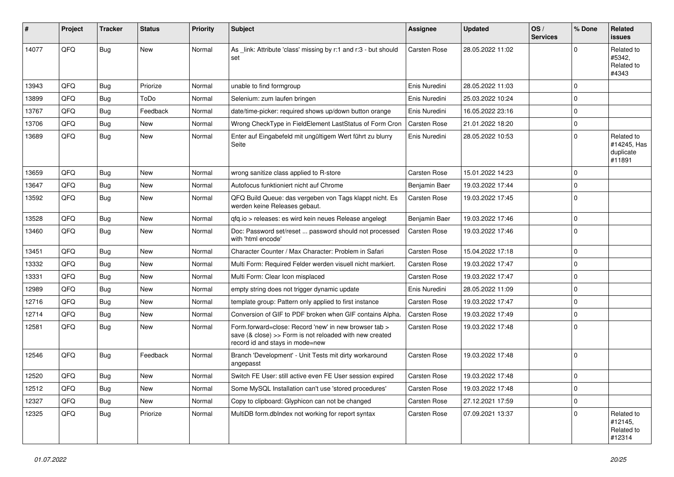| #     | Project | <b>Tracker</b> | <b>Status</b> | <b>Priority</b> | Subject                                                                                                                                             | <b>Assignee</b> | <b>Updated</b>   | OS/<br><b>Services</b> | % Done      | Related<br>issues                                |
|-------|---------|----------------|---------------|-----------------|-----------------------------------------------------------------------------------------------------------------------------------------------------|-----------------|------------------|------------------------|-------------|--------------------------------------------------|
| 14077 | QFQ     | <b>Bug</b>     | <b>New</b>    | Normal          | As _link: Attribute 'class' missing by r:1 and r:3 - but should<br>set                                                                              | Carsten Rose    | 28.05.2022 11:02 |                        | $\Omega$    | Related to<br>#5342.<br>Related to<br>#4343      |
| 13943 | QFQ     | <b>Bug</b>     | Priorize      | Normal          | unable to find formgroup                                                                                                                            | Enis Nuredini   | 28.05.2022 11:03 |                        | $\Omega$    |                                                  |
| 13899 | QFQ     | Bug            | ToDo          | Normal          | Selenium: zum laufen bringen                                                                                                                        | Enis Nuredini   | 25.03.2022 10:24 |                        | 0           |                                                  |
| 13767 | QFQ     | Bug            | Feedback      | Normal          | date/time-picker: required shows up/down button orange                                                                                              | Enis Nuredini   | 16.05.2022 23:16 |                        | 0           |                                                  |
| 13706 | QFQ     | Bug            | <b>New</b>    | Normal          | Wrong CheckType in FieldElement LastStatus of Form Cron                                                                                             | Carsten Rose    | 21.01.2022 18:20 |                        | $\mathbf 0$ |                                                  |
| 13689 | QFQ     | <b>Bug</b>     | New           | Normal          | Enter auf Eingabefeld mit ungültigem Wert führt zu blurry<br>Seite                                                                                  | Enis Nuredini   | 28.05.2022 10:53 |                        | $\mathbf 0$ | Related to<br>#14245, Has<br>duplicate<br>#11891 |
| 13659 | QFQ     | Bug            | <b>New</b>    | Normal          | wrong sanitize class applied to R-store                                                                                                             | Carsten Rose    | 15.01.2022 14:23 |                        | $\mathbf 0$ |                                                  |
| 13647 | QFQ     | <b>Bug</b>     | <b>New</b>    | Normal          | Autofocus funktioniert nicht auf Chrome                                                                                                             | Benjamin Baer   | 19.03.2022 17:44 |                        | $\mathbf 0$ |                                                  |
| 13592 | QFQ     | Bug            | New           | Normal          | QFQ Build Queue: das vergeben von Tags klappt nicht. Es<br>werden keine Releases gebaut.                                                            | Carsten Rose    | 19.03.2022 17:45 |                        | $\Omega$    |                                                  |
| 13528 | QFQ     | <b>Bug</b>     | <b>New</b>    | Normal          | qfq.io > releases: es wird kein neues Release angelegt                                                                                              | Benjamin Baer   | 19.03.2022 17:46 |                        | $\mathbf 0$ |                                                  |
| 13460 | QFQ     | <b>Bug</b>     | New           | Normal          | Doc: Password set/reset  password should not processed<br>with 'html encode'                                                                        | Carsten Rose    | 19.03.2022 17:46 |                        | 0           |                                                  |
| 13451 | QFQ     | <b>Bug</b>     | <b>New</b>    | Normal          | Character Counter / Max Character: Problem in Safari                                                                                                | Carsten Rose    | 15.04.2022 17:18 |                        | $\mathbf 0$ |                                                  |
| 13332 | QFQ     | <b>Bug</b>     | <b>New</b>    | Normal          | Multi Form: Required Felder werden visuell nicht markiert.                                                                                          | Carsten Rose    | 19.03.2022 17:47 |                        | 0           |                                                  |
| 13331 | QFQ     | <b>Bug</b>     | <b>New</b>    | Normal          | Multi Form: Clear Icon misplaced                                                                                                                    | Carsten Rose    | 19.03.2022 17:47 |                        | $\mathbf 0$ |                                                  |
| 12989 | QFQ     | Bug            | New           | Normal          | empty string does not trigger dynamic update                                                                                                        | Enis Nuredini   | 28.05.2022 11:09 |                        | $\mathbf 0$ |                                                  |
| 12716 | QFQ     | <b>Bug</b>     | <b>New</b>    | Normal          | template group: Pattern only applied to first instance                                                                                              | Carsten Rose    | 19.03.2022 17:47 |                        | $\mathbf 0$ |                                                  |
| 12714 | QFQ     | <b>Bug</b>     | <b>New</b>    | Normal          | Conversion of GIF to PDF broken when GIF contains Alpha.                                                                                            | Carsten Rose    | 19.03.2022 17:49 |                        | $\mathbf 0$ |                                                  |
| 12581 | QFQ     | <b>Bug</b>     | New           | Normal          | Form.forward=close: Record 'new' in new browser tab ><br>save (& close) >> Form is not reloaded with new created<br>record id and stays in mode=new | Carsten Rose    | 19.03.2022 17:48 |                        | 0           |                                                  |
| 12546 | QFQ     | <b>Bug</b>     | Feedback      | Normal          | Branch 'Development' - Unit Tests mit dirty workaround<br>angepasst                                                                                 | Carsten Rose    | 19.03.2022 17:48 |                        | 0           |                                                  |
| 12520 | QFQ     | <b>Bug</b>     | New           | Normal          | Switch FE User: still active even FE User session expired                                                                                           | Carsten Rose    | 19.03.2022 17:48 |                        | 0           |                                                  |
| 12512 | QFQ     | <b>Bug</b>     | New           | Normal          | Some MySQL Installation can't use 'stored procedures'                                                                                               | Carsten Rose    | 19.03.2022 17:48 |                        | $\pmb{0}$   |                                                  |
| 12327 | QFQ     | <b>Bug</b>     | New           | Normal          | Copy to clipboard: Glyphicon can not be changed                                                                                                     | Carsten Rose    | 27.12.2021 17:59 |                        | $\mathbf 0$ |                                                  |
| 12325 | QFQ     | Bug            | Priorize      | Normal          | MultiDB form.dbIndex not working for report syntax                                                                                                  | Carsten Rose    | 07.09.2021 13:37 |                        | $\Omega$    | Related to<br>#12145,<br>Related to<br>#12314    |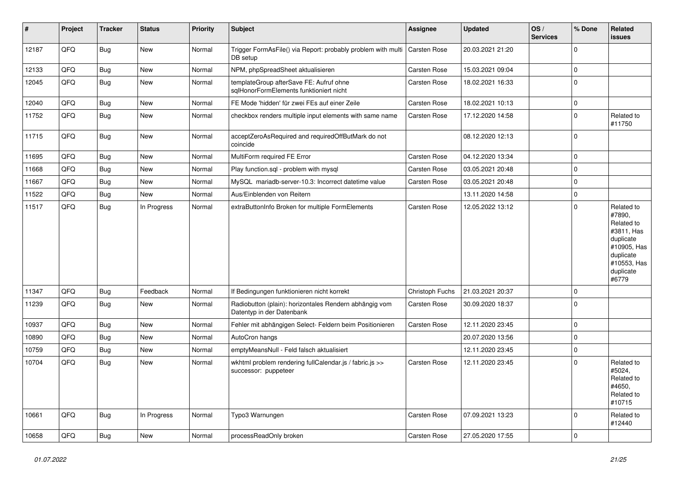| #     | Project | <b>Tracker</b> | <b>Status</b> | <b>Priority</b> | <b>Subject</b>                                                                      | Assignee            | <b>Updated</b>   | OS/<br><b>Services</b> | % Done      | Related<br><b>issues</b>                                                                                                       |
|-------|---------|----------------|---------------|-----------------|-------------------------------------------------------------------------------------|---------------------|------------------|------------------------|-------------|--------------------------------------------------------------------------------------------------------------------------------|
| 12187 | QFQ     | <b>Bug</b>     | <b>New</b>    | Normal          | Trigger FormAsFile() via Report: probably problem with multi<br>DB setup            | Carsten Rose        | 20.03.2021 21:20 |                        | $\mathbf 0$ |                                                                                                                                |
| 12133 | QFQ     | <b>Bug</b>     | New           | Normal          | NPM, phpSpreadSheet aktualisieren                                                   | Carsten Rose        | 15.03.2021 09:04 |                        | $\mathsf 0$ |                                                                                                                                |
| 12045 | QFQ     | <b>Bug</b>     | <b>New</b>    | Normal          | templateGroup afterSave FE: Aufruf ohne<br>sqlHonorFormElements funktioniert nicht  | Carsten Rose        | 18.02.2021 16:33 |                        | $\mathbf 0$ |                                                                                                                                |
| 12040 | QFQ     | Bug            | <b>New</b>    | Normal          | FE Mode 'hidden' für zwei FEs auf einer Zeile                                       | Carsten Rose        | 18.02.2021 10:13 |                        | $\mathbf 0$ |                                                                                                                                |
| 11752 | QFQ     | <b>Bug</b>     | New           | Normal          | checkbox renders multiple input elements with same name                             | Carsten Rose        | 17.12.2020 14:58 |                        | $\mathbf 0$ | Related to<br>#11750                                                                                                           |
| 11715 | QFQ     | Bug            | <b>New</b>    | Normal          | acceptZeroAsRequired and requiredOffButMark do not<br>coincide                      |                     | 08.12.2020 12:13 |                        | $\mathbf 0$ |                                                                                                                                |
| 11695 | QFQ     | Bug            | <b>New</b>    | Normal          | MultiForm required FE Error                                                         | Carsten Rose        | 04.12.2020 13:34 |                        | $\mathbf 0$ |                                                                                                                                |
| 11668 | QFQ     | Bug            | New           | Normal          | Play function.sql - problem with mysql                                              | Carsten Rose        | 03.05.2021 20:48 |                        | $\mathbf 0$ |                                                                                                                                |
| 11667 | QFQ     | Bug            | <b>New</b>    | Normal          | MySQL mariadb-server-10.3: Incorrect datetime value                                 | Carsten Rose        | 03.05.2021 20:48 |                        | $\mathbf 0$ |                                                                                                                                |
| 11522 | QFQ     | <b>Bug</b>     | <b>New</b>    | Normal          | Aus/Einblenden von Reitern                                                          |                     | 13.11.2020 14:58 |                        | $\pmb{0}$   |                                                                                                                                |
| 11517 | QFQ     | <b>Bug</b>     | In Progress   | Normal          | extraButtonInfo Broken for multiple FormElements                                    | Carsten Rose        | 12.05.2022 13:12 |                        | $\mathbf 0$ | Related to<br>#7890,<br>Related to<br>#3811, Has<br>duplicate<br>#10905, Has<br>duplicate<br>#10553, Has<br>duplicate<br>#6779 |
| 11347 | QFQ     | <b>Bug</b>     | Feedback      | Normal          | If Bedingungen funktionieren nicht korrekt                                          | Christoph Fuchs     | 21.03.2021 20:37 |                        | $\mathbf 0$ |                                                                                                                                |
| 11239 | QFQ     | Bug            | <b>New</b>    | Normal          | Radiobutton (plain): horizontales Rendern abhängig vom<br>Datentyp in der Datenbank | Carsten Rose        | 30.09.2020 18:37 |                        | $\mathbf 0$ |                                                                                                                                |
| 10937 | QFQ     | Bug            | <b>New</b>    | Normal          | Fehler mit abhängigen Select- Feldern beim Positionieren                            | Carsten Rose        | 12.11.2020 23:45 |                        | $\mathbf 0$ |                                                                                                                                |
| 10890 | QFQ     | <b>Bug</b>     | <b>New</b>    | Normal          | AutoCron hangs                                                                      |                     | 20.07.2020 13:56 |                        | $\mathbf 0$ |                                                                                                                                |
| 10759 | QFQ     | Bug            | <b>New</b>    | Normal          | emptyMeansNull - Feld falsch aktualisiert                                           |                     | 12.11.2020 23:45 |                        | $\mathbf 0$ |                                                                                                                                |
| 10704 | QFQ     | Bug            | <b>New</b>    | Normal          | wkhtml problem rendering fullCalendar.js / fabric.js >><br>successor: puppeteer     | Carsten Rose        | 12.11.2020 23:45 |                        | $\Omega$    | Related to<br>#5024,<br>Related to<br>#4650.<br>Related to<br>#10715                                                           |
| 10661 | QFQ     | <b>Bug</b>     | In Progress   | Normal          | Typo3 Warnungen                                                                     | <b>Carsten Rose</b> | 07.09.2021 13:23 |                        | $\Omega$    | Related to<br>#12440                                                                                                           |
| 10658 | QFQ     | Bug            | <b>New</b>    | Normal          | processReadOnly broken                                                              | Carsten Rose        | 27.05.2020 17:55 |                        | $\mathbf 0$ |                                                                                                                                |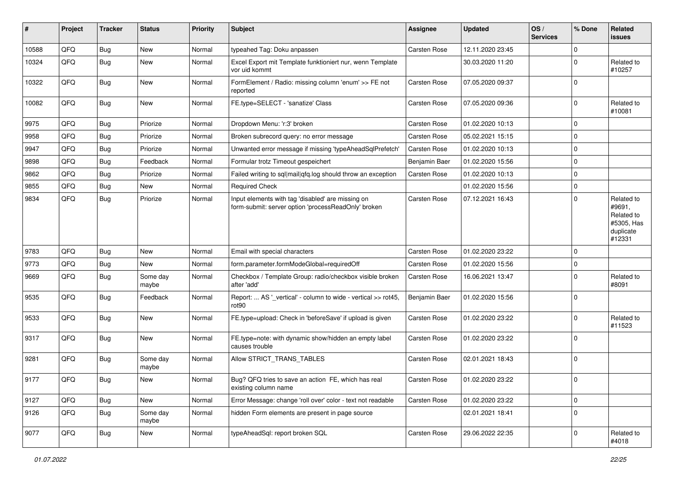| #     | Project | <b>Tracker</b> | <b>Status</b>     | <b>Priority</b> | Subject                                                                                                  | Assignee            | <b>Updated</b>   | OS/<br><b>Services</b> | % Done      | Related<br>issues                                                       |
|-------|---------|----------------|-------------------|-----------------|----------------------------------------------------------------------------------------------------------|---------------------|------------------|------------------------|-------------|-------------------------------------------------------------------------|
| 10588 | QFQ     | Bug            | New               | Normal          | typeahed Tag: Doku anpassen                                                                              | Carsten Rose        | 12.11.2020 23:45 |                        | $\Omega$    |                                                                         |
| 10324 | QFQ     | <b>Bug</b>     | New               | Normal          | Excel Export mit Template funktioniert nur, wenn Template<br>vor uid kommt                               |                     | 30.03.2020 11:20 |                        | 0           | Related to<br>#10257                                                    |
| 10322 | QFQ     | <b>Bug</b>     | New               | Normal          | FormElement / Radio: missing column 'enum' >> FE not<br>reported                                         | Carsten Rose        | 07.05.2020 09:37 |                        | $\Omega$    |                                                                         |
| 10082 | QFQ     | Bug            | New               | Normal          | FE.type=SELECT - 'sanatize' Class                                                                        | Carsten Rose        | 07.05.2020 09:36 |                        | $\mathbf 0$ | Related to<br>#10081                                                    |
| 9975  | QFQ     | <b>Bug</b>     | Priorize          | Normal          | Dropdown Menu: 'r:3' broken                                                                              | <b>Carsten Rose</b> | 01.02.2020 10:13 |                        | $\Omega$    |                                                                         |
| 9958  | QFQ     | <b>Bug</b>     | Priorize          | Normal          | Broken subrecord query: no error message                                                                 | <b>Carsten Rose</b> | 05.02.2021 15:15 |                        | $\mathbf 0$ |                                                                         |
| 9947  | QFQ     | Bug            | Priorize          | Normal          | Unwanted error message if missing 'typeAheadSqlPrefetch'                                                 | Carsten Rose        | 01.02.2020 10:13 |                        | $\mathbf 0$ |                                                                         |
| 9898  | QFQ     | <b>Bug</b>     | Feedback          | Normal          | Formular trotz Timeout gespeichert                                                                       | Benjamin Baer       | 01.02.2020 15:56 |                        | $\mathbf 0$ |                                                                         |
| 9862  | QFQ     | <b>Bug</b>     | Priorize          | Normal          | Failed writing to sql mail qfq.log should throw an exception                                             | Carsten Rose        | 01.02.2020 10:13 |                        | $\mathbf 0$ |                                                                         |
| 9855  | QFQ     | <b>Bug</b>     | <b>New</b>        | Normal          | <b>Required Check</b>                                                                                    |                     | 01.02.2020 15:56 |                        | $\mathbf 0$ |                                                                         |
| 9834  | QFQ     | <b>Bug</b>     | Priorize          | Normal          | Input elements with tag 'disabled' are missing on<br>form-submit: server option 'processReadOnly' broken | Carsten Rose        | 07.12.2021 16:43 |                        | $\Omega$    | Related to<br>#9691,<br>Related to<br>#5305, Has<br>duplicate<br>#12331 |
| 9783  | QFQ     | <b>Bug</b>     | <b>New</b>        | Normal          | Email with special characters                                                                            | Carsten Rose        | 01.02.2020 23:22 |                        | $\mathbf 0$ |                                                                         |
| 9773  | QFQ     | Bug            | New               | Normal          | form.parameter.formModeGlobal=requiredOff                                                                | Carsten Rose        | 01.02.2020 15:56 |                        | 0           |                                                                         |
| 9669  | QFQ     | Bug            | Some day<br>maybe | Normal          | Checkbox / Template Group: radio/checkbox visible broken<br>after 'add'                                  | Carsten Rose        | 16.06.2021 13:47 |                        | $\mathbf 0$ | Related to<br>#8091                                                     |
| 9535  | QFQ     | <b>Bug</b>     | Feedback          | Normal          | Report:  AS '_vertical' - column to wide - vertical >> rot45,<br>rot <sub>90</sub>                       | Benjamin Baer       | 01.02.2020 15:56 |                        | $\Omega$    |                                                                         |
| 9533  | QFQ     | <b>Bug</b>     | New               | Normal          | FE.type=upload: Check in 'beforeSave' if upload is given                                                 | Carsten Rose        | 01.02.2020 23:22 |                        | 0           | Related to<br>#11523                                                    |
| 9317  | QFQ     | Bug            | <b>New</b>        | Normal          | FE.type=note: with dynamic show/hidden an empty label<br>causes trouble                                  | Carsten Rose        | 01.02.2020 23:22 |                        | $\mathbf 0$ |                                                                         |
| 9281  | QFQ     | Bug            | Some day<br>maybe | Normal          | Allow STRICT_TRANS_TABLES                                                                                | Carsten Rose        | 02.01.2021 18:43 |                        | $\Omega$    |                                                                         |
| 9177  | QFQ     | Bug            | New               | Normal          | Bug? QFQ tries to save an action FE, which has real<br>existing column name                              | Carsten Rose        | 01.02.2020 23:22 |                        | 0           |                                                                         |
| 9127  | QFQ     | Bug            | New               | Normal          | Error Message: change 'roll over' color - text not readable                                              | Carsten Rose        | 01.02.2020 23:22 |                        | $\mathbf 0$ |                                                                         |
| 9126  | QFQ     | <b>Bug</b>     | Some day<br>maybe | Normal          | hidden Form elements are present in page source                                                          |                     | 02.01.2021 18:41 |                        | $\mathbf 0$ |                                                                         |
| 9077  | QFQ     | <b>Bug</b>     | New               | Normal          | typeAheadSql: report broken SQL                                                                          | Carsten Rose        | 29.06.2022 22:35 |                        | $\mathbf 0$ | Related to<br>#4018                                                     |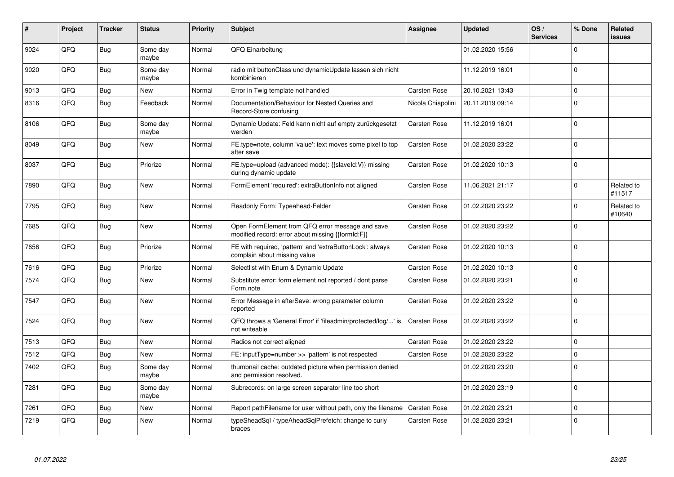| ∦    | Project | <b>Tracker</b> | <b>Status</b>     | <b>Priority</b> | <b>Subject</b>                                                                                        | Assignee            | <b>Updated</b>   | OS/<br><b>Services</b> | % Done      | Related<br><b>issues</b> |
|------|---------|----------------|-------------------|-----------------|-------------------------------------------------------------------------------------------------------|---------------------|------------------|------------------------|-------------|--------------------------|
| 9024 | QFQ     | <b>Bug</b>     | Some day<br>maybe | Normal          | QFQ Einarbeitung                                                                                      |                     | 01.02.2020 15:56 |                        | $\Omega$    |                          |
| 9020 | QFQ     | <b>Bug</b>     | Some day<br>maybe | Normal          | radio mit buttonClass und dynamicUpdate lassen sich nicht<br>kombinieren                              |                     | 11.12.2019 16:01 |                        | $\Omega$    |                          |
| 9013 | QFQ     | <b>Bug</b>     | New               | Normal          | Error in Twig template not handled                                                                    | Carsten Rose        | 20.10.2021 13:43 |                        | 0           |                          |
| 8316 | QFQ     | <b>Bug</b>     | Feedback          | Normal          | Documentation/Behaviour for Nested Queries and<br>Record-Store confusing                              | Nicola Chiapolini   | 20.11.2019 09:14 |                        | $\Omega$    |                          |
| 8106 | QFQ     | <b>Bug</b>     | Some day<br>maybe | Normal          | Dynamic Update: Feld kann nicht auf empty zurückgesetzt<br>werden                                     | Carsten Rose        | 11.12.2019 16:01 |                        | $\Omega$    |                          |
| 8049 | QFQ     | <b>Bug</b>     | New               | Normal          | FE.type=note, column 'value': text moves some pixel to top<br>after save                              | <b>Carsten Rose</b> | 01.02.2020 23:22 |                        | $\Omega$    |                          |
| 8037 | QFQ     | <b>Bug</b>     | Priorize          | Normal          | FE.type=upload (advanced mode): {{slaveId:V}} missing<br>during dynamic update                        | Carsten Rose        | 01.02.2020 10:13 |                        | $\Omega$    |                          |
| 7890 | QFQ     | <b>Bug</b>     | New               | Normal          | FormElement 'required': extraButtonInfo not aligned                                                   | <b>Carsten Rose</b> | 11.06.2021 21:17 |                        | $\Omega$    | Related to<br>#11517     |
| 7795 | QFQ     | Bug            | <b>New</b>        | Normal          | Readonly Form: Typeahead-Felder                                                                       | Carsten Rose        | 01.02.2020 23:22 |                        | $\Omega$    | Related to<br>#10640     |
| 7685 | QFQ     | <b>Bug</b>     | <b>New</b>        | Normal          | Open FormElement from QFQ error message and save<br>modified record: error about missing {{formId:F}} | Carsten Rose        | 01.02.2020 23:22 |                        | $\Omega$    |                          |
| 7656 | QFQ     | <b>Bug</b>     | Priorize          | Normal          | FE with required, 'pattern' and 'extraButtonLock': always<br>complain about missing value             | Carsten Rose        | 01.02.2020 10:13 |                        | $\Omega$    |                          |
| 7616 | QFQ     | Bug            | Priorize          | Normal          | Selectlist with Enum & Dynamic Update                                                                 | Carsten Rose        | 01.02.2020 10:13 |                        | $\Omega$    |                          |
| 7574 | QFQ     | Bug            | <b>New</b>        | Normal          | Substitute error: form element not reported / dont parse<br>Form.note                                 | <b>Carsten Rose</b> | 01.02.2020 23:21 |                        | $\Omega$    |                          |
| 7547 | QFQ     | <b>Bug</b>     | New               | Normal          | Error Message in afterSave: wrong parameter column<br>reported                                        | <b>Carsten Rose</b> | 01.02.2020 23:22 |                        | $\Omega$    |                          |
| 7524 | QFQ     | Bug            | New               | Normal          | QFQ throws a 'General Error' if 'fileadmin/protected/log/' is<br>not writeable                        | <b>Carsten Rose</b> | 01.02.2020 23:22 |                        | $\Omega$    |                          |
| 7513 | QFQ     | Bug            | New               | Normal          | Radios not correct aligned                                                                            | <b>Carsten Rose</b> | 01.02.2020 23:22 |                        | $\Omega$    |                          |
| 7512 | QFQ     | <b>Bug</b>     | New               | Normal          | FE: inputType=number >> 'pattern' is not respected                                                    | Carsten Rose        | 01.02.2020 23:22 |                        | $\Omega$    |                          |
| 7402 | QFQ     | <b>Bug</b>     | Some day<br>maybe | Normal          | thumbnail cache: outdated picture when permission denied<br>and permission resolved.                  |                     | 01.02.2020 23:20 |                        | $\Omega$    |                          |
| 7281 | QFQ     | Bug            | Some day<br>maybe | Normal          | Subrecords: on large screen separator line too short                                                  |                     | 01.02.2020 23:19 |                        | $\Omega$    |                          |
| 7261 | QFQ     | Bug            | New               | Normal          | Report pathFilename for user without path, only the filename                                          | <b>Carsten Rose</b> | 01.02.2020 23:21 |                        | $\mathbf 0$ |                          |
| 7219 | QFQ     | <b>Bug</b>     | New               | Normal          | typeSheadSql / typeAheadSqlPrefetch: change to curly<br>braces                                        | <b>Carsten Rose</b> | 01.02.2020 23:21 |                        | $\Omega$    |                          |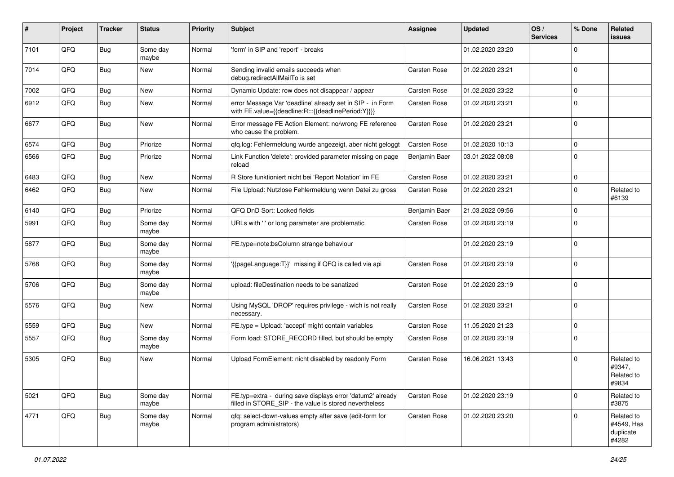| ∦    | Project | <b>Tracker</b> | <b>Status</b>     | <b>Priority</b> | Subject                                                                                                              | Assignee      | <b>Updated</b>   | OS/<br><b>Services</b> | % Done      | Related<br>issues                              |
|------|---------|----------------|-------------------|-----------------|----------------------------------------------------------------------------------------------------------------------|---------------|------------------|------------------------|-------------|------------------------------------------------|
| 7101 | QFQ     | <b>Bug</b>     | Some day<br>maybe | Normal          | 'form' in SIP and 'report' - breaks                                                                                  |               | 01.02.2020 23:20 |                        | $\Omega$    |                                                |
| 7014 | QFQ     | Bug            | New               | Normal          | Sending invalid emails succeeds when<br>debug.redirectAllMailTo is set                                               | Carsten Rose  | 01.02.2020 23:21 |                        | $\Omega$    |                                                |
| 7002 | QFQ     | <b>Bug</b>     | <b>New</b>        | Normal          | Dynamic Update: row does not disappear / appear                                                                      | Carsten Rose  | 01.02.2020 23:22 |                        | $\Omega$    |                                                |
| 6912 | QFQ     | Bug            | New               | Normal          | error Message Var 'deadline' already set in SIP - in Form<br>with FE.value={{deadline:R:::{{deadlinePeriod:Y}}}}     | Carsten Rose  | 01.02.2020 23:21 |                        | $\Omega$    |                                                |
| 6677 | QFQ     | <b>Bug</b>     | <b>New</b>        | Normal          | Error message FE Action Element: no/wrong FE reference<br>who cause the problem.                                     | Carsten Rose  | 01.02.2020 23:21 |                        | $\Omega$    |                                                |
| 6574 | QFQ     | <b>Bug</b>     | Priorize          | Normal          | qfq.log: Fehlermeldung wurde angezeigt, aber nicht geloggt                                                           | Carsten Rose  | 01.02.2020 10:13 |                        | $\mathbf 0$ |                                                |
| 6566 | QFQ     | Bug            | Priorize          | Normal          | Link Function 'delete': provided parameter missing on page<br>reload                                                 | Benjamin Baer | 03.01.2022 08:08 |                        | $\Omega$    |                                                |
| 6483 | QFQ     | <b>Bug</b>     | <b>New</b>        | Normal          | R Store funktioniert nicht bei 'Report Notation' im FE                                                               | Carsten Rose  | 01.02.2020 23:21 |                        | $\mathbf 0$ |                                                |
| 6462 | QFQ     | Bug            | New               | Normal          | File Upload: Nutzlose Fehlermeldung wenn Datei zu gross                                                              | Carsten Rose  | 01.02.2020 23:21 |                        | $\Omega$    | Related to<br>#6139                            |
| 6140 | QFQ     | <b>Bug</b>     | Priorize          | Normal          | QFQ DnD Sort: Locked fields                                                                                          | Benjamin Baer | 21.03.2022 09:56 |                        | $\Omega$    |                                                |
| 5991 | QFQ     | Bug            | Some day<br>maybe | Normal          | URLs with ' ' or long parameter are problematic                                                                      | Carsten Rose  | 01.02.2020 23:19 |                        | $\Omega$    |                                                |
| 5877 | QFQ     | Bug            | Some day<br>maybe | Normal          | FE.type=note:bsColumn strange behaviour                                                                              |               | 01.02.2020 23:19 |                        | $\Omega$    |                                                |
| 5768 | QFQ     | <b>Bug</b>     | Some day<br>maybe | Normal          | '{{pageLanguage:T}}' missing if QFQ is called via api                                                                | Carsten Rose  | 01.02.2020 23:19 |                        | $\Omega$    |                                                |
| 5706 | QFQ     | <b>Bug</b>     | Some day<br>maybe | Normal          | upload: fileDestination needs to be sanatized                                                                        | Carsten Rose  | 01.02.2020 23:19 |                        | $\Omega$    |                                                |
| 5576 | QFQ     | <b>Bug</b>     | New               | Normal          | Using MySQL 'DROP' requires privilege - wich is not really<br>necessary.                                             | Carsten Rose  | 01.02.2020 23:21 |                        | $\mathbf 0$ |                                                |
| 5559 | QFQ     | <b>Bug</b>     | <b>New</b>        | Normal          | FE.type = Upload: 'accept' might contain variables                                                                   | Carsten Rose  | 11.05.2020 21:23 |                        | $\Omega$    |                                                |
| 5557 | QFQ     | Bug            | Some day<br>maybe | Normal          | Form load: STORE RECORD filled, but should be empty                                                                  | Carsten Rose  | 01.02.2020 23:19 |                        | $\mathbf 0$ |                                                |
| 5305 | QFQ     | Bug            | <b>New</b>        | Normal          | Upload FormElement: nicht disabled by readonly Form                                                                  | Carsten Rose  | 16.06.2021 13:43 |                        | $\Omega$    | Related to<br>#9347,<br>Related to<br>#9834    |
| 5021 | QFQ     | <b>Bug</b>     | Some day<br>maybe | Normal          | FE.typ=extra - during save displays error 'datum2' already<br>filled in STORE SIP - the value is stored nevertheless | Carsten Rose  | 01.02.2020 23:19 |                        | $\mathbf 0$ | Related to<br>#3875                            |
| 4771 | QFQ     | <b>Bug</b>     | Some day<br>maybe | Normal          | qfq: select-down-values empty after save (edit-form for<br>program administrators)                                   | Carsten Rose  | 01.02.2020 23:20 |                        | $\mathbf 0$ | Related to<br>#4549, Has<br>duplicate<br>#4282 |